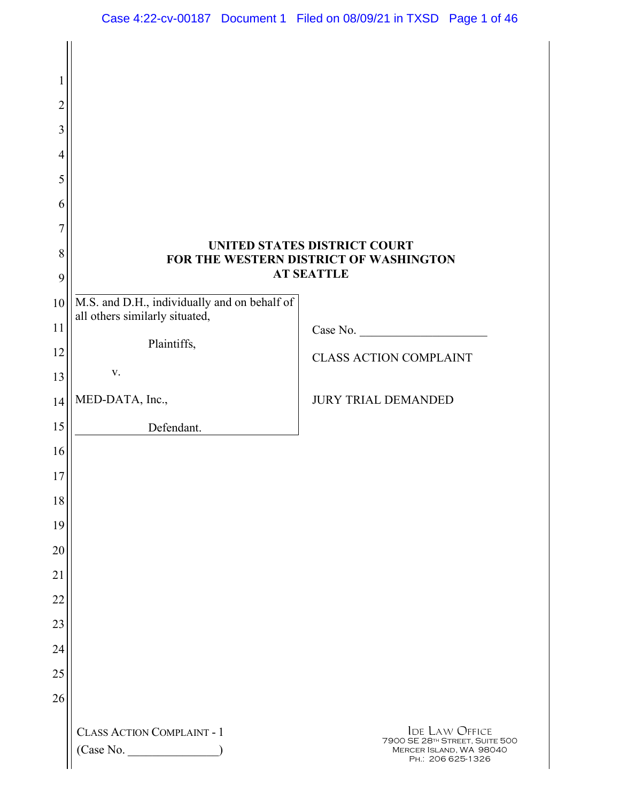| 1<br>$\overline{c}$<br>3<br>4 |                                                                                                             |                                                                                                         |  |
|-------------------------------|-------------------------------------------------------------------------------------------------------------|---------------------------------------------------------------------------------------------------------|--|
| 5<br>6<br>7                   |                                                                                                             |                                                                                                         |  |
| 8<br>9                        | <b>UNITED STATES DISTRICT COURT</b><br>FOR THE WESTERN DISTRICT OF WASHINGTON<br><b>AT SEATTLE</b>          |                                                                                                         |  |
| 10<br>11<br>12<br>13          | M.S. and D.H., individually and on behalf of<br>all others similarly situated,<br>Plaintiffs,<br>${\bf V}.$ | Case No.<br><b>CLASS ACTION COMPLAINT</b>                                                               |  |
| 14<br>15                      | MED-DATA, Inc.,<br>Defendant.                                                                               | <b>JURY TRIAL DEMANDED</b>                                                                              |  |
| 16<br>17<br>18                |                                                                                                             |                                                                                                         |  |
| 19<br>20                      |                                                                                                             |                                                                                                         |  |
| 21<br>22<br>23                |                                                                                                             |                                                                                                         |  |
| 24<br>25                      |                                                                                                             |                                                                                                         |  |
| 26                            | <b>CLASS ACTION COMPLAINT - 1</b><br>(Case No. _                                                            | <b>IDE LAW OFFICE</b><br>7900 SE 28TH STREET, SUITE 500<br>MERCER ISLAND, WA 98040<br>PH.: 206 625-1326 |  |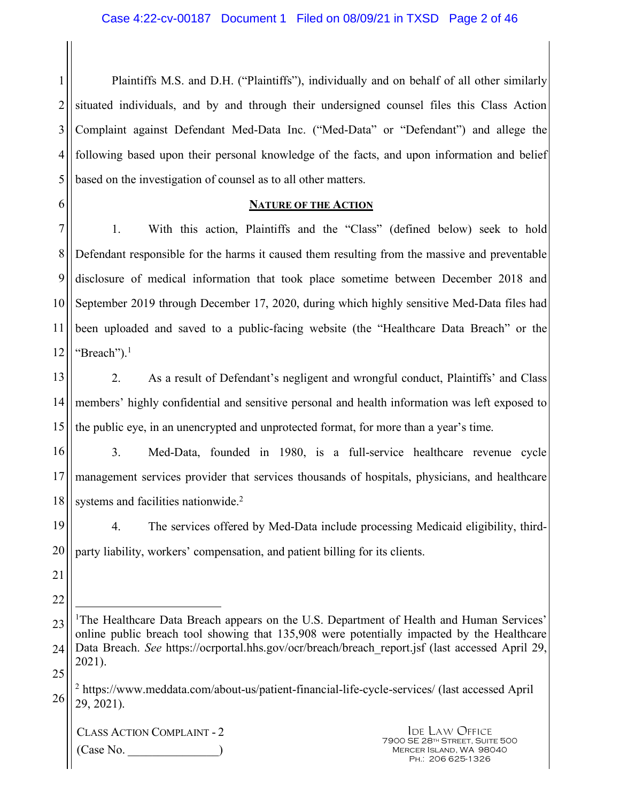1 2 3 4 5 Plaintiffs M.S. and D.H. ("Plaintiffs"), individually and on behalf of all other similarly situated individuals, and by and through their undersigned counsel files this Class Action Complaint against Defendant Med-Data Inc. ("Med-Data" or "Defendant") and allege the following based upon their personal knowledge of the facts, and upon information and belief based on the investigation of counsel as to all other matters.

6

#### **NATURE OF THE ACTION**

7 8 9 10 11 12 1. With this action, Plaintiffs and the "Class" (defined below) seek to hold Defendant responsible for the harms it caused them resulting from the massive and preventable disclosure of medical information that took place sometime between December 2018 and September 2019 through December 17, 2020, during which highly sensitive Med-Data files had been uploaded and saved to a public-facing website (the "Healthcare Data Breach" or the "Breach"). $<sup>1</sup>$ </sup>

13 14 15 2. As a result of Defendant's negligent and wrongful conduct, Plaintiffs' and Class members' highly confidential and sensitive personal and health information was left exposed to the public eye, in an unencrypted and unprotected format, for more than a year's time.

16 17 18 3. Med-Data, founded in 1980, is a full-service healthcare revenue cycle management services provider that services thousands of hospitals, physicians, and healthcare systems and facilities nationwide.<sup>2</sup>

19 20 4. The services offered by Med-Data include processing Medicaid eligibility, thirdparty liability, workers' compensation, and patient billing for its clients.

21

22

 $\overline{a}$ 

<sup>23</sup>  24 25 <sup>1</sup>The Healthcare Data Breach appears on the U.S. Department of Health and Human Services' online public breach tool showing that 135,908 were potentially impacted by the Healthcare Data Breach. *See* https://ocrportal.hhs.gov/ocr/breach/breach report.jsf (last accessed April 29, 2021).

<sup>26</sup>  <sup>2</sup> https://www.meddata.com/about-us/patient-financial-life-cycle-services/ (last accessed April 29, 2021).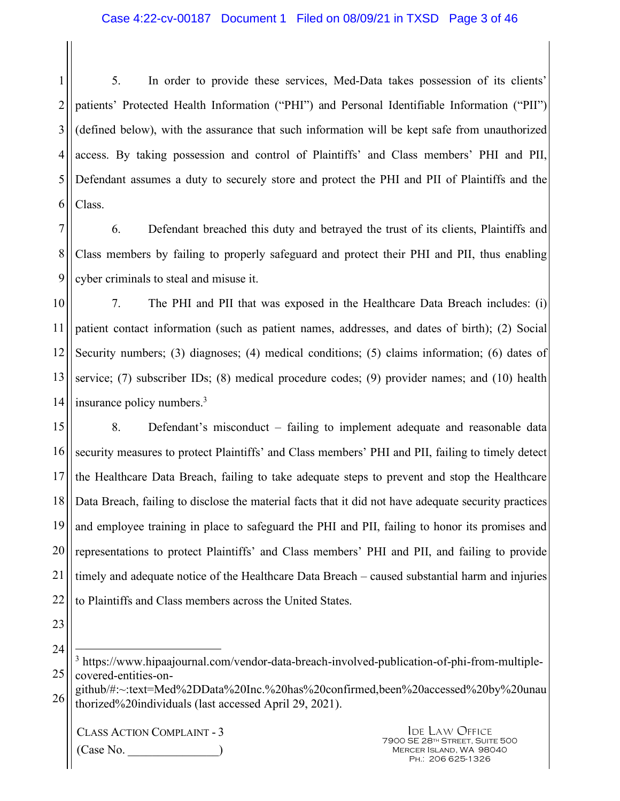1 2 3 4 5 6 5. In order to provide these services, Med-Data takes possession of its clients' patients' Protected Health Information ("PHI") and Personal Identifiable Information ("PII") (defined below), with the assurance that such information will be kept safe from unauthorized access. By taking possession and control of Plaintiffs' and Class members' PHI and PII, Defendant assumes a duty to securely store and protect the PHI and PII of Plaintiffs and the Class.

7 8 9 6. Defendant breached this duty and betrayed the trust of its clients, Plaintiffs and Class members by failing to properly safeguard and protect their PHI and PII, thus enabling cyber criminals to steal and misuse it.

10 11 12 13 14 7. The PHI and PII that was exposed in the Healthcare Data Breach includes: (i) patient contact information (such as patient names, addresses, and dates of birth); (2) Social Security numbers; (3) diagnoses; (4) medical conditions; (5) claims information; (6) dates of service; (7) subscriber IDs; (8) medical procedure codes; (9) provider names; and (10) health insurance policy numbers.<sup>3</sup>

15 16 17 18 19 20 21 22 8. Defendant's misconduct – failing to implement adequate and reasonable data security measures to protect Plaintiffs' and Class members' PHI and PII, failing to timely detect the Healthcare Data Breach, failing to take adequate steps to prevent and stop the Healthcare Data Breach, failing to disclose the material facts that it did not have adequate security practices and employee training in place to safeguard the PHI and PII, failing to honor its promises and representations to protect Plaintiffs' and Class members' PHI and PII, and failing to provide timely and adequate notice of the Healthcare Data Breach – caused substantial harm and injuries to Plaintiffs and Class members across the United States.

23

24

 $\overline{a}$ 

26 github/#:~:text=Med%2DData%20Inc.%20has%20confirmed,been%20accessed%20by%20unau thorized%20individuals (last accessed April 29, 2021).

CLASS ACTION COMPLAINT - 3  $(Case No)$ 

<sup>25</sup>  <sup>3</sup> https://www.hipaajournal.com/vendor-data-breach-involved-publication-of-phi-from-multiplecovered-entities-on-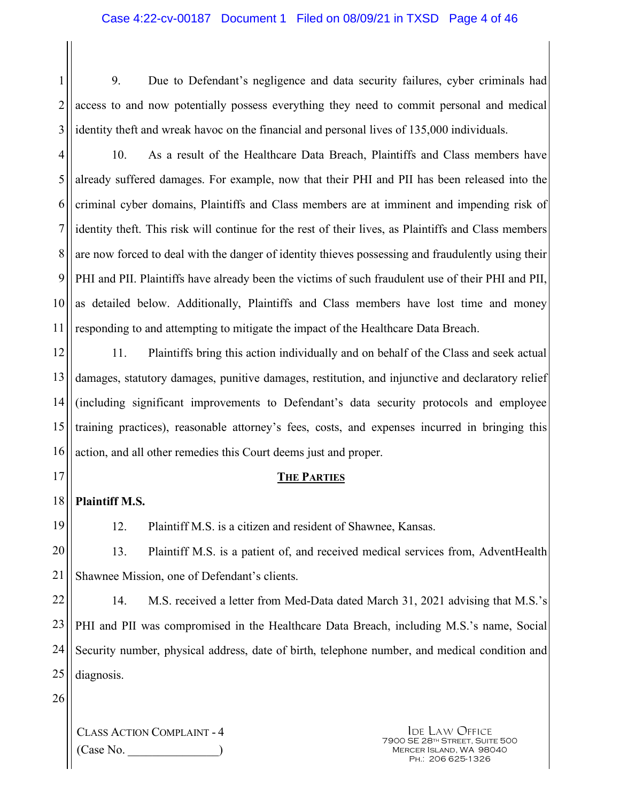1 2 3 9. Due to Defendant's negligence and data security failures, cyber criminals had access to and now potentially possess everything they need to commit personal and medical identity theft and wreak havoc on the financial and personal lives of 135,000 individuals.

4 5 6 7 8 9 10 11 10. As a result of the Healthcare Data Breach, Plaintiffs and Class members have already suffered damages. For example, now that their PHI and PII has been released into the criminal cyber domains, Plaintiffs and Class members are at imminent and impending risk of identity theft. This risk will continue for the rest of their lives, as Plaintiffs and Class members are now forced to deal with the danger of identity thieves possessing and fraudulently using their PHI and PII. Plaintiffs have already been the victims of such fraudulent use of their PHI and PII, as detailed below. Additionally, Plaintiffs and Class members have lost time and money responding to and attempting to mitigate the impact of the Healthcare Data Breach.

12 13 14 15 16 11. Plaintiffs bring this action individually and on behalf of the Class and seek actual damages, statutory damages, punitive damages, restitution, and injunctive and declaratory relief (including significant improvements to Defendant's data security protocols and employee training practices), reasonable attorney's fees, costs, and expenses incurred in bringing this action, and all other remedies this Court deems just and proper.

#### **THE PARTIES**

18 **Plaintiff M.S.** 

17

19

12. Plaintiff M.S. is a citizen and resident of Shawnee, Kansas.

20 21 13. Plaintiff M.S. is a patient of, and received medical services from, AdventHealth Shawnee Mission, one of Defendant's clients.

22 23 24 25 14. M.S. received a letter from Med-Data dated March 31, 2021 advising that M.S.'s PHI and PII was compromised in the Healthcare Data Breach, including M.S.'s name, Social Security number, physical address, date of birth, telephone number, and medical condition and diagnosis.

26

CLASS ACTION COMPLAINT - 4 (Case No. \_\_\_\_\_\_\_\_\_\_\_\_\_\_\_)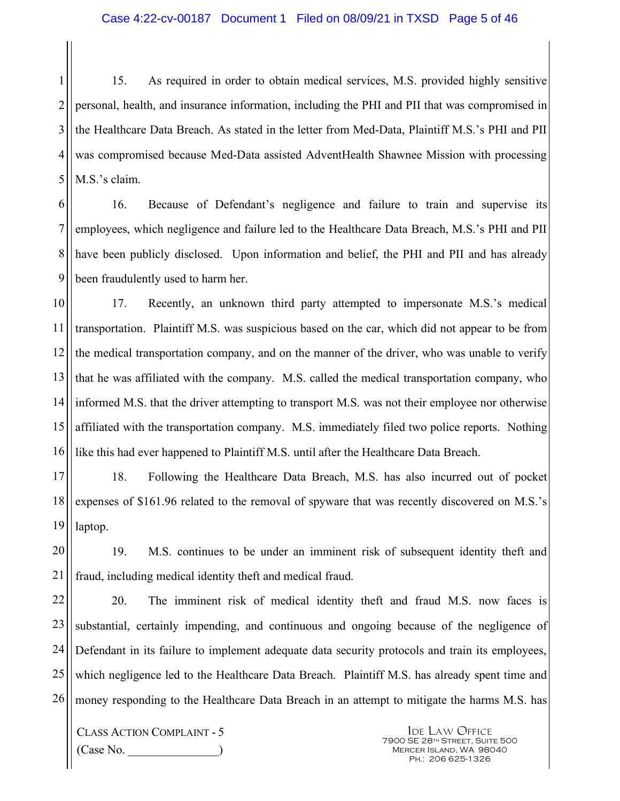1 2 3 4 5 15. As required in order to obtain medical services, M.S. provided highly sensitive personal, health, and insurance information, including the PHI and PII that was compromised in the Healthcare Data Breach. As stated in the letter from Med-Data, Plaintiff M.S.'s PHI and PII was compromised because Med-Data assisted AdventHealth Shawnee Mission with processing M.S.'s claim.

6 7 8 9 16. Because of Defendant's negligence and failure to train and supervise its employees, which negligence and failure led to the Healthcare Data Breach, M.S.'s PHI and PII have been publicly disclosed. Upon information and belief, the PHI and PII and has already been fraudulently used to harm her.

10 11 12 13 14 15 16 17. Recently, an unknown third party attempted to impersonate M.S.'s medical transportation. Plaintiff M.S. was suspicious based on the car, which did not appear to be from the medical transportation company, and on the manner of the driver, who was unable to verify that he was affiliated with the company. M.S. called the medical transportation company, who informed M.S. that the driver attempting to transport M.S. was not their employee nor otherwise affiliated with the transportation company. M.S. immediately filed two police reports. Nothing like this had ever happened to Plaintiff M.S. until after the Healthcare Data Breach.

17 18 19 18. Following the Healthcare Data Breach, M.S. has also incurred out of pocket expenses of \$161.96 related to the removal of spyware that was recently discovered on M.S.'s laptop.

20 21 19. M.S. continues to be under an imminent risk of subsequent identity theft and fraud, including medical identity theft and medical fraud.

22 23 24 25 26 20. The imminent risk of medical identity theft and fraud M.S. now faces is substantial, certainly impending, and continuous and ongoing because of the negligence of Defendant in its failure to implement adequate data security protocols and train its employees, which negligence led to the Healthcare Data Breach. Plaintiff M.S. has already spent time and money responding to the Healthcare Data Breach in an attempt to mitigate the harms M.S. has

CLASS ACTION COMPLAINT - 5  $(Case No)$ .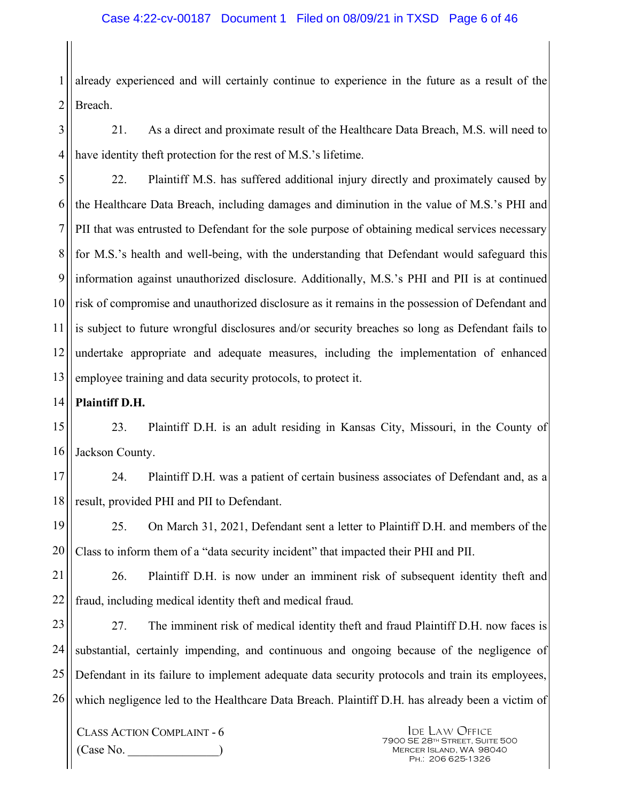1 2 already experienced and will certainly continue to experience in the future as a result of the Breach.

3 4 21. As a direct and proximate result of the Healthcare Data Breach, M.S. will need to have identity theft protection for the rest of M.S.'s lifetime.

5 6 7 8 9 10 11 12 13 22. Plaintiff M.S. has suffered additional injury directly and proximately caused by the Healthcare Data Breach, including damages and diminution in the value of M.S.'s PHI and PII that was entrusted to Defendant for the sole purpose of obtaining medical services necessary for M.S.'s health and well-being, with the understanding that Defendant would safeguard this information against unauthorized disclosure. Additionally, M.S.'s PHI and PII is at continued risk of compromise and unauthorized disclosure as it remains in the possession of Defendant and is subject to future wrongful disclosures and/or security breaches so long as Defendant fails to undertake appropriate and adequate measures, including the implementation of enhanced employee training and data security protocols, to protect it.

14 **Plaintiff D.H.** 

15 16 23. Plaintiff D.H. is an adult residing in Kansas City, Missouri, in the County of Jackson County.

17 18 24. Plaintiff D.H. was a patient of certain business associates of Defendant and, as a result, provided PHI and PII to Defendant.

19 20 25. On March 31, 2021, Defendant sent a letter to Plaintiff D.H. and members of the Class to inform them of a "data security incident" that impacted their PHI and PII.

21 22 26. Plaintiff D.H. is now under an imminent risk of subsequent identity theft and fraud, including medical identity theft and medical fraud.

23 24 25 26 27. The imminent risk of medical identity theft and fraud Plaintiff D.H. now faces is substantial, certainly impending, and continuous and ongoing because of the negligence of Defendant in its failure to implement adequate data security protocols and train its employees, which negligence led to the Healthcare Data Breach. Plaintiff D.H. has already been a victim of

CLASS ACTION COMPLAINT - 6 (Case No. \_\_\_\_\_\_\_\_\_\_\_\_\_\_\_)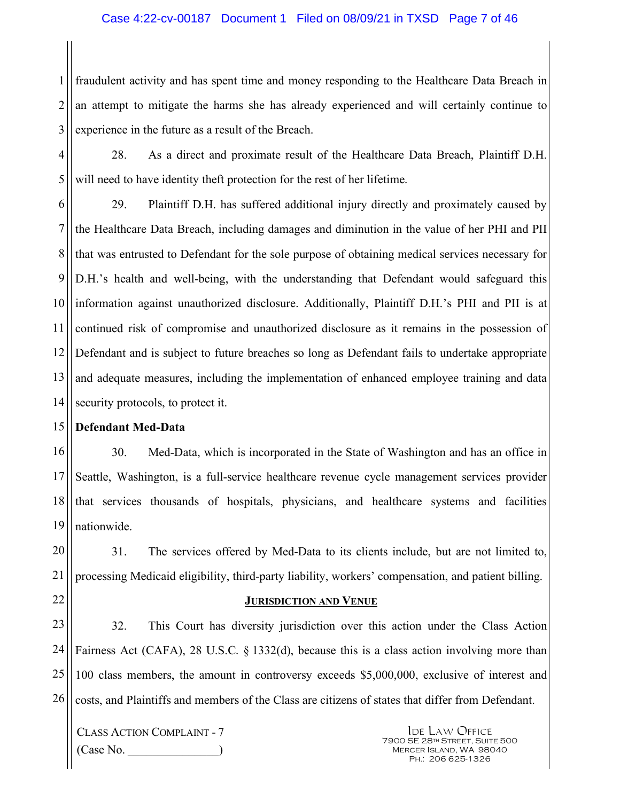#### Case 4:22-cv-00187 Document 1 Filed on 08/09/21 in TXSD Page 7 of 46

1 2 3 fraudulent activity and has spent time and money responding to the Healthcare Data Breach in an attempt to mitigate the harms she has already experienced and will certainly continue to experience in the future as a result of the Breach.

4 5 28. As a direct and proximate result of the Healthcare Data Breach, Plaintiff D.H. will need to have identity theft protection for the rest of her lifetime.

6 7 8 9 10 11 12 13 14 29. Plaintiff D.H. has suffered additional injury directly and proximately caused by the Healthcare Data Breach, including damages and diminution in the value of her PHI and PII that was entrusted to Defendant for the sole purpose of obtaining medical services necessary for D.H.'s health and well-being, with the understanding that Defendant would safeguard this information against unauthorized disclosure. Additionally, Plaintiff D.H.'s PHI and PII is at continued risk of compromise and unauthorized disclosure as it remains in the possession of Defendant and is subject to future breaches so long as Defendant fails to undertake appropriate and adequate measures, including the implementation of enhanced employee training and data security protocols, to protect it.

#### 15 **Defendant Med-Data**

16 17 18 19 30. Med-Data, which is incorporated in the State of Washington and has an office in Seattle, Washington, is a full-service healthcare revenue cycle management services provider that services thousands of hospitals, physicians, and healthcare systems and facilities nationwide.

20 21 31. The services offered by Med-Data to its clients include, but are not limited to, processing Medicaid eligibility, third-party liability, workers' compensation, and patient billing.

22

#### **JURISDICTION AND VENUE**

23 24 25 26 32. This Court has diversity jurisdiction over this action under the Class Action Fairness Act (CAFA), 28 U.S.C. § 1332(d), because this is a class action involving more than 100 class members, the amount in controversy exceeds \$5,000,000, exclusive of interest and costs, and Plaintiffs and members of the Class are citizens of states that differ from Defendant.

CLASS ACTION COMPLAINT - 7  $(Case No)$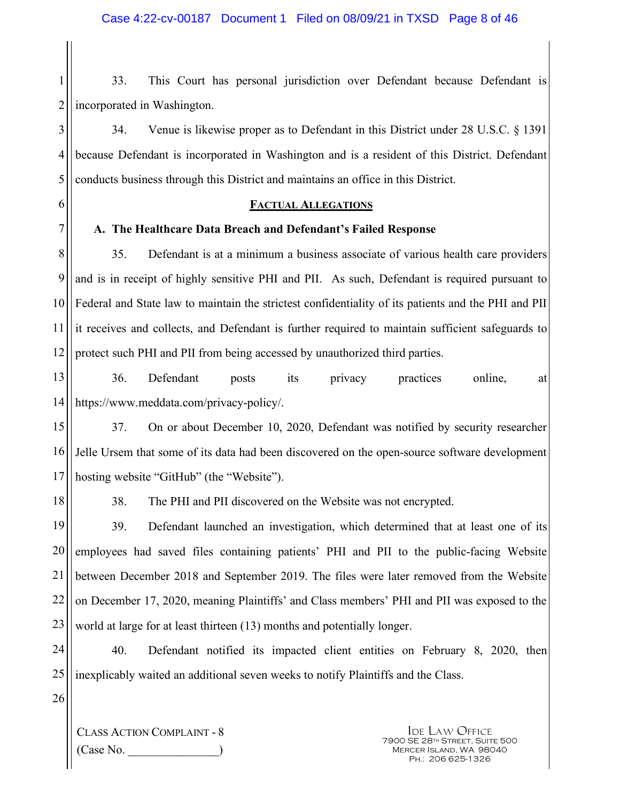1 2 33. This Court has personal jurisdiction over Defendant because Defendant is incorporated in Washington.

3 4 5 34. Venue is likewise proper as to Defendant in this District under 28 U.S.C. § 1391 because Defendant is incorporated in Washington and is a resident of this District. Defendant conducts business through this District and maintains an office in this District.

#### **FACTUAL ALLEGATIONS**

#### **A. The Healthcare Data Breach and Defendant's Failed Response**

8 9 10 11 12 35. Defendant is at a minimum a business associate of various health care providers and is in receipt of highly sensitive PHI and PII. As such, Defendant is required pursuant to Federal and State law to maintain the strictest confidentiality of its patients and the PHI and PII it receives and collects, and Defendant is further required to maintain sufficient safeguards to protect such PHI and PII from being accessed by unauthorized third parties.

13 14 36. Defendant posts its privacy practices online, at https://www.meddata.com/privacy-policy/.

15 16 17 37. On or about December 10, 2020, Defendant was notified by security researcher Jelle Ursem that some of its data had been discovered on the open-source software development hosting website "GitHub" (the "Website").

18

6

7

38. The PHI and PII discovered on the Website was not encrypted.

19 20 21 22 23 39. Defendant launched an investigation, which determined that at least one of its employees had saved files containing patients' PHI and PII to the public-facing Website between December 2018 and September 2019. The files were later removed from the Website on December 17, 2020, meaning Plaintiffs' and Class members' PHI and PII was exposed to the world at large for at least thirteen (13) months and potentially longer.

24 25 40. Defendant notified its impacted client entities on February 8, 2020, then inexplicably waited an additional seven weeks to notify Plaintiffs and the Class.

26

CLASS ACTION COMPLAINT - 8  $(Case No)$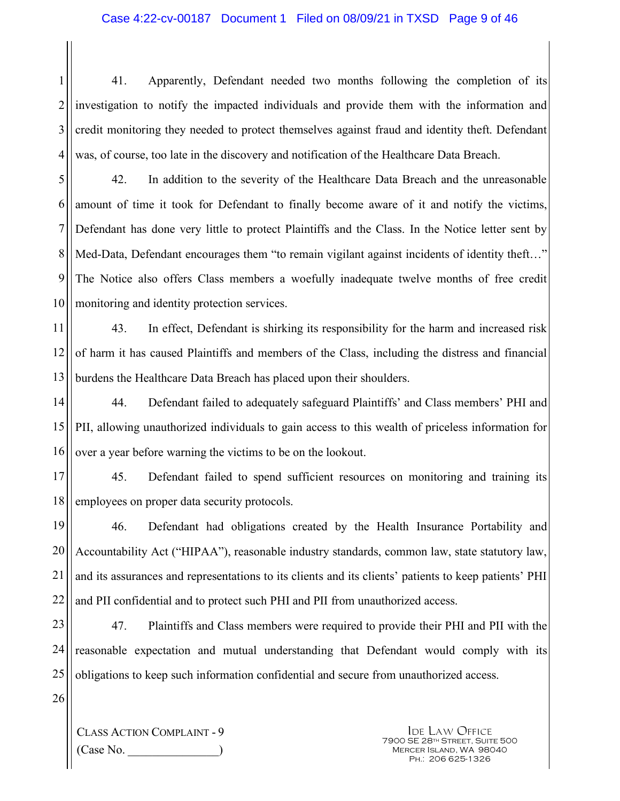1 2 3 4 41. Apparently, Defendant needed two months following the completion of its investigation to notify the impacted individuals and provide them with the information and credit monitoring they needed to protect themselves against fraud and identity theft. Defendant was, of course, too late in the discovery and notification of the Healthcare Data Breach.

5 6 7 8 9 10 42. In addition to the severity of the Healthcare Data Breach and the unreasonable amount of time it took for Defendant to finally become aware of it and notify the victims, Defendant has done very little to protect Plaintiffs and the Class. In the Notice letter sent by Med-Data, Defendant encourages them "to remain vigilant against incidents of identity theft..." The Notice also offers Class members a woefully inadequate twelve months of free credit monitoring and identity protection services.

11 12 13 43. In effect, Defendant is shirking its responsibility for the harm and increased risk of harm it has caused Plaintiffs and members of the Class, including the distress and financial burdens the Healthcare Data Breach has placed upon their shoulders.

14 15 16 44. Defendant failed to adequately safeguard Plaintiffs' and Class members' PHI and PII, allowing unauthorized individuals to gain access to this wealth of priceless information for over a year before warning the victims to be on the lookout.

17 18 45. Defendant failed to spend sufficient resources on monitoring and training its employees on proper data security protocols.

19 20 21 22 46. Defendant had obligations created by the Health Insurance Portability and Accountability Act ("HIPAA"), reasonable industry standards, common law, state statutory law, and its assurances and representations to its clients and its clients' patients to keep patients' PHI and PII confidential and to protect such PHI and PII from unauthorized access.

23 24 25 47. Plaintiffs and Class members were required to provide their PHI and PII with the reasonable expectation and mutual understanding that Defendant would comply with its obligations to keep such information confidential and secure from unauthorized access.

26

CLASS ACTION COMPLAINT - 9 (Case No. \_\_\_\_\_\_\_\_\_\_\_\_\_\_\_)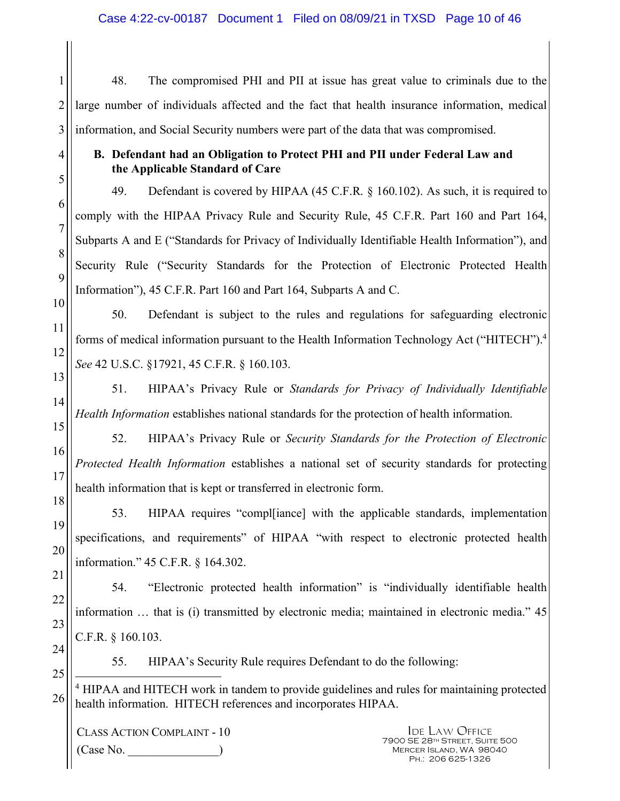48. The compromised PHI and PII at issue has great value to criminals due to the large number of individuals affected and the fact that health insurance information, medical information, and Social Security numbers were part of the data that was compromised.

## **B. Defendant had an Obligation to Protect PHI and PII under Federal Law and the Applicable Standard of Care**

49. Defendant is covered by HIPAA (45 C.F.R. § 160.102). As such, it is required to comply with the HIPAA Privacy Rule and Security Rule, 45 C.F.R. Part 160 and Part 164, Subparts A and E ("Standards for Privacy of Individually Identifiable Health Information"), and Security Rule ("Security Standards for the Protection of Electronic Protected Health Information"), 45 C.F.R. Part 160 and Part 164, Subparts A and C.

50. Defendant is subject to the rules and regulations for safeguarding electronic forms of medical information pursuant to the Health Information Technology Act ("HITECH").<sup>4</sup> *See* 42 U.S.C. §17921, 45 C.F.R. § 160.103.

51. HIPAA's Privacy Rule or *Standards for Privacy of Individually Identifiable Health Information* establishes national standards for the protection of health information.

52. HIPAA's Privacy Rule or *Security Standards for the Protection of Electronic Protected Health Information* establishes a national set of security standards for protecting health information that is kept or transferred in electronic form.

53. HIPAA requires "compl[iance] with the applicable standards, implementation specifications, and requirements" of HIPAA "with respect to electronic protected health information." 45 C.F.R. § 164.302.

54. "Electronic protected health information" is "individually identifiable health information … that is (i) transmitted by electronic media; maintained in electronic media." 45 C.F.R. § 160.103.

24 25

1

2

3

4

5

6

7

8

9

10

11

12

13

14

15

16

17

18

19

20

21

22

23

55. HIPAA's Security Rule requires Defendant to do the following:

26  $\overline{a}$ <sup>4</sup> HIPAA and HITECH work in tandem to provide guidelines and rules for maintaining protected health information. HITECH references and incorporates HIPAA.

CLASS ACTION COMPLAINT - 10 (Case No. \_\_\_\_\_\_\_\_\_\_\_\_\_\_\_)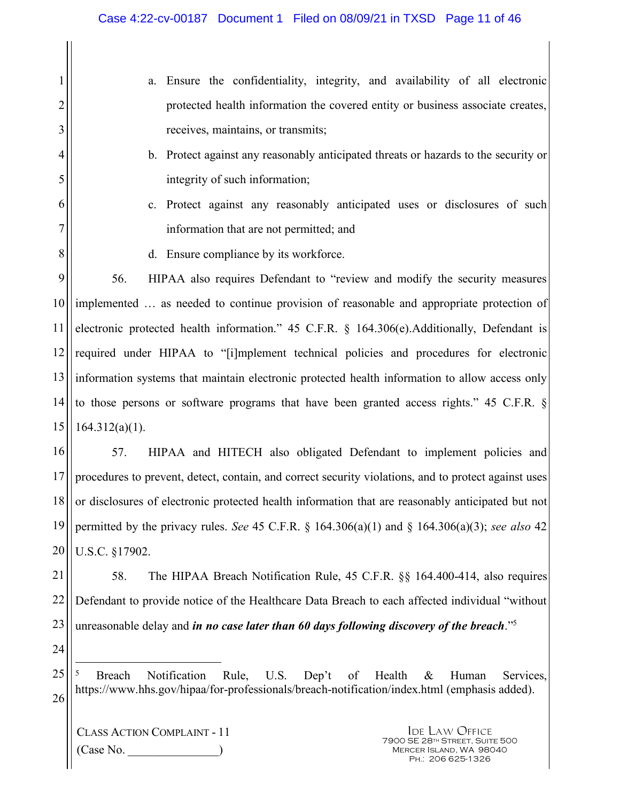|                | Ensure the confidentiality, integrity, and availability of all electronic<br>a.                                                                                                                            |  |  |
|----------------|------------------------------------------------------------------------------------------------------------------------------------------------------------------------------------------------------------|--|--|
| 2              | protected health information the covered entity or business associate creates,                                                                                                                             |  |  |
| 3              | receives, maintains, or transmits;                                                                                                                                                                         |  |  |
| $\overline{4}$ | b. Protect against any reasonably anticipated threats or hazards to the security or                                                                                                                        |  |  |
| 5              | integrity of such information;                                                                                                                                                                             |  |  |
| 6              | Protect against any reasonably anticipated uses or disclosures of such<br>$c_{\cdot}$                                                                                                                      |  |  |
| 7              | information that are not permitted; and                                                                                                                                                                    |  |  |
| $\, 8$         | d. Ensure compliance by its workforce.                                                                                                                                                                     |  |  |
| 9              | HIPAA also requires Defendant to "review and modify the security measures"<br>56.                                                                                                                          |  |  |
| 10             | implemented  as needed to continue provision of reasonable and appropriate protection of                                                                                                                   |  |  |
| 11             | electronic protected health information." 45 C.F.R. § 164.306(e).Additionally, Defendant is                                                                                                                |  |  |
| 12             | required under HIPAA to "[i]mplement technical policies and procedures for electronic                                                                                                                      |  |  |
| 13             | information systems that maintain electronic protected health information to allow access only                                                                                                             |  |  |
| 14             | to those persons or software programs that have been granted access rights." 45 C.F.R. §                                                                                                                   |  |  |
| 15             | $164.312(a)(1)$ .                                                                                                                                                                                          |  |  |
| 16             | HIPAA and HITECH also obligated Defendant to implement policies and<br>57.                                                                                                                                 |  |  |
| 17             | procedures to prevent, detect, contain, and correct security violations, and to protect against uses                                                                                                       |  |  |
| 18             | or disclosures of electronic protected health information that are reasonably anticipated but not                                                                                                          |  |  |
| 19             | permitted by the privacy rules. See 45 C.F.R. § 164.306(a)(1) and § 164.306(a)(3); see also 42                                                                                                             |  |  |
| 20             | U.S.C. §17902.                                                                                                                                                                                             |  |  |
| 21             | 58.<br>The HIPAA Breach Notification Rule, 45 C.F.R. §§ 164.400-414, also requires                                                                                                                         |  |  |
| 22             | Defendant to provide notice of the Healthcare Data Breach to each affected individual "without                                                                                                             |  |  |
| 23             | unreasonable delay and in no case later than 60 days following discovery of the breach." <sup>5</sup>                                                                                                      |  |  |
| 24             |                                                                                                                                                                                                            |  |  |
| 25             | 5<br>Notification<br>Rule,<br>Health<br><b>Breach</b><br>U.S.<br>Dep't<br>of<br>$\&$<br>Human<br>Services,<br>https://www.hhs.gov/hipaa/for-professionals/breach-notification/index.html (emphasis added). |  |  |
| 26             |                                                                                                                                                                                                            |  |  |
|                |                                                                                                                                                                                                            |  |  |

CLASS ACTION COMPLAINT - 11 (Case No. \_\_\_\_\_\_\_\_\_\_\_\_\_\_\_)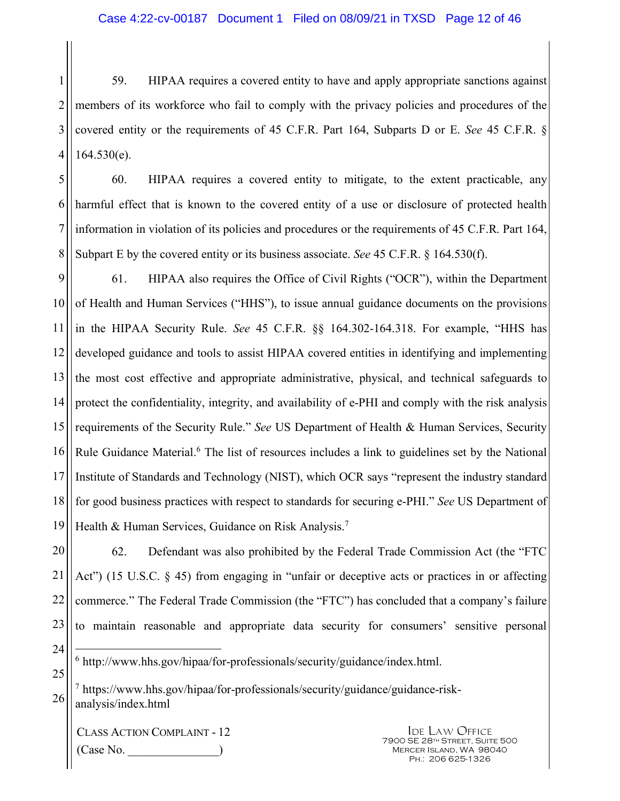1 2 3 4 59. HIPAA requires a covered entity to have and apply appropriate sanctions against members of its workforce who fail to comply with the privacy policies and procedures of the covered entity or the requirements of 45 C.F.R. Part 164, Subparts D or E. *See* 45 C.F.R. §  $164.530(e)$ .

5

6

7

8

60. HIPAA requires a covered entity to mitigate, to the extent practicable, any harmful effect that is known to the covered entity of a use or disclosure of protected health information in violation of its policies and procedures or the requirements of 45 C.F.R. Part 164, Subpart E by the covered entity or its business associate. *See* 45 C.F.R. § 164.530(f).

9 10 11 12 13 14 15 16 17 18 19 61. HIPAA also requires the Office of Civil Rights ("OCR"), within the Department of Health and Human Services ("HHS"), to issue annual guidance documents on the provisions in the HIPAA Security Rule. *See* 45 C.F.R. §§ 164.302-164.318. For example, "HHS has developed guidance and tools to assist HIPAA covered entities in identifying and implementing the most cost effective and appropriate administrative, physical, and technical safeguards to protect the confidentiality, integrity, and availability of e-PHI and comply with the risk analysis requirements of the Security Rule." *See* US Department of Health & Human Services, Security Rule Guidance Material.<sup>6</sup> The list of resources includes a link to guidelines set by the National Institute of Standards and Technology (NIST), which OCR says "represent the industry standard for good business practices with respect to standards for securing e-PHI." *See* US Department of Health & Human Services, Guidance on Risk Analysis.<sup>7</sup>

20 21 22 23 62. Defendant was also prohibited by the Federal Trade Commission Act (the "FTC Act") (15 U.S.C. § 45) from engaging in "unfair or deceptive acts or practices in or affecting commerce." The Federal Trade Commission (the "FTC") has concluded that a company's failure to maintain reasonable and appropriate data security for consumers' sensitive personal

24

25

 $\overline{a}$ 6 http://www.hhs.gov/hipaa/for-professionals/security/guidance/index.html.

26 7 https://www.hhs.gov/hipaa/for-professionals/security/guidance/guidance-riskanalysis/index.html

CLASS ACTION COMPLAINT - 12  $(Case No)$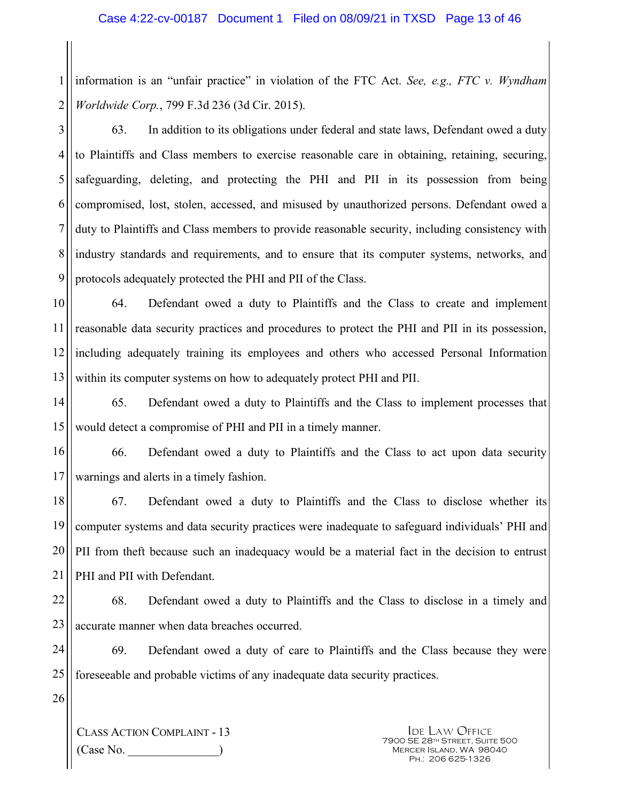1 2 information is an "unfair practice" in violation of the FTC Act. *See, e.g., FTC v. Wyndham Worldwide Corp.*, 799 F.3d 236 (3d Cir. 2015).

3 4 5 6 7 8 9 63. In addition to its obligations under federal and state laws, Defendant owed a duty to Plaintiffs and Class members to exercise reasonable care in obtaining, retaining, securing, safeguarding, deleting, and protecting the PHI and PII in its possession from being compromised, lost, stolen, accessed, and misused by unauthorized persons. Defendant owed a duty to Plaintiffs and Class members to provide reasonable security, including consistency with industry standards and requirements, and to ensure that its computer systems, networks, and protocols adequately protected the PHI and PII of the Class.

10 11 12 13 64. Defendant owed a duty to Plaintiffs and the Class to create and implement reasonable data security practices and procedures to protect the PHI and PII in its possession, including adequately training its employees and others who accessed Personal Information within its computer systems on how to adequately protect PHI and PII.

14 15 65. Defendant owed a duty to Plaintiffs and the Class to implement processes that would detect a compromise of PHI and PII in a timely manner.

16 17 66. Defendant owed a duty to Plaintiffs and the Class to act upon data security warnings and alerts in a timely fashion.

18 19 20 21 67. Defendant owed a duty to Plaintiffs and the Class to disclose whether its computer systems and data security practices were inadequate to safeguard individuals' PHI and PII from theft because such an inadequacy would be a material fact in the decision to entrust PHI and PII with Defendant.

22 23 68. Defendant owed a duty to Plaintiffs and the Class to disclose in a timely and accurate manner when data breaches occurred.

24 25 69. Defendant owed a duty of care to Plaintiffs and the Class because they were foreseeable and probable victims of any inadequate data security practices.

26

CLASS ACTION COMPLAINT - 13 (Case No. \_\_\_\_\_\_\_\_\_\_\_\_\_\_\_)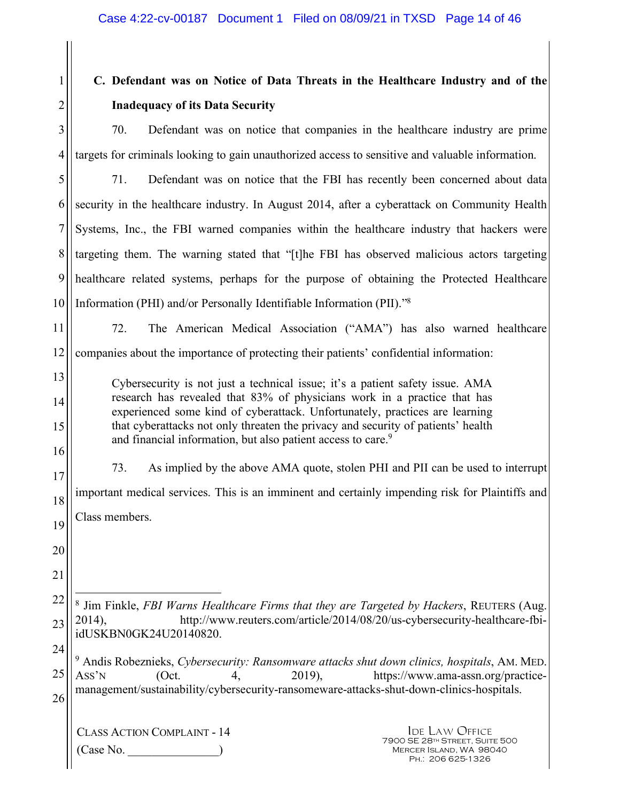# **C. Defendant was on Notice of Data Threats in the Healthcare Industry and of the Inadequacy of its Data Security**

70. Defendant was on notice that companies in the healthcare industry are prime targets for criminals looking to gain unauthorized access to sensitive and valuable information.

5 6 7 8 9 10 71. Defendant was on notice that the FBI has recently been concerned about data security in the healthcare industry. In August 2014, after a cyberattack on Community Health Systems, Inc., the FBI warned companies within the healthcare industry that hackers were targeting them. The warning stated that "[t]he FBI has observed malicious actors targeting healthcare related systems, perhaps for the purpose of obtaining the Protected Healthcare Information (PHI) and/or Personally Identifiable Information (PII)."<sup>8</sup>

11 12 72. The American Medical Association ("AMA") has also warned healthcare companies about the importance of protecting their patients' confidential information:

Cybersecurity is not just a technical issue; it's a patient safety issue. AMA research has revealed that 83% of physicians work in a practice that has experienced some kind of cyberattack. Unfortunately, practices are learning that cyberattacks not only threaten the privacy and security of patients' health and financial information, but also patient access to care.<sup>9</sup>

16 17 18 19 73. As implied by the above AMA quote, stolen PHI and PII can be used to interrupt important medical services. This is an imminent and certainly impending risk for Plaintiffs and Class members.

20 21

13

14

15

1

2

3

4

22 23  $\overline{a}$ 8 Jim Finkle, *FBI Warns Healthcare Firms that they are Targeted by Hackers*, REUTERS (Aug. 2014), http://www.reuters.com/article/2014/08/20/us-cybersecurity-healthcare-fbiidUSKBN0GK24U20140820.

24 25 26 9 Andis Robeznieks, *Cybersecurity: Ransomware attacks shut down clinics, hospitals*, AM. MED. ASS'N (Oct. 4, 2019), https://www.ama-assn.org/practicemanagement/sustainability/cybersecurity-ransomeware-attacks-shut-down-clinics-hospitals.

CLASS ACTION COMPLAINT - 14 (Case No. \_\_\_\_\_\_\_\_\_\_\_\_\_\_\_)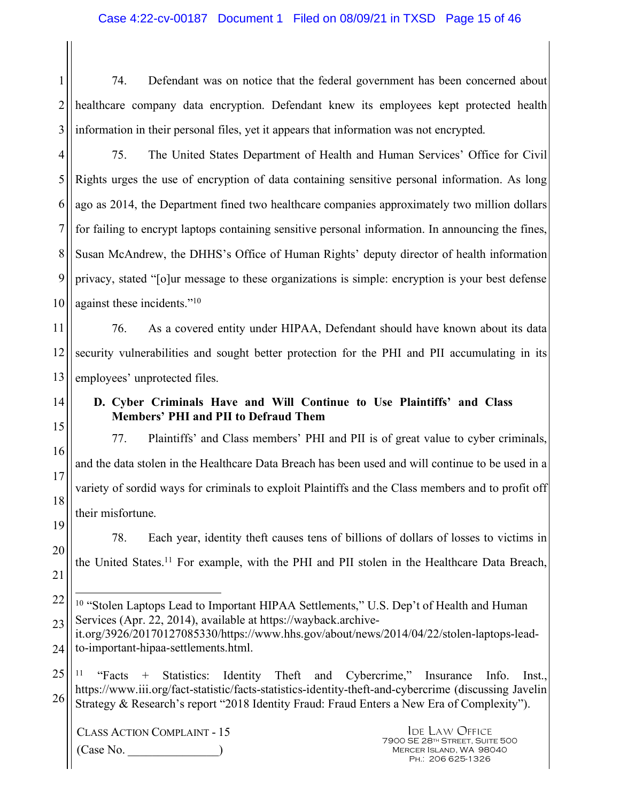1 2 3 74. Defendant was on notice that the federal government has been concerned about healthcare company data encryption. Defendant knew its employees kept protected health information in their personal files, yet it appears that information was not encrypted.

4 5 6 7 8 9 10 75. The United States Department of Health and Human Services' Office for Civil Rights urges the use of encryption of data containing sensitive personal information. As long ago as 2014, the Department fined two healthcare companies approximately two million dollars for failing to encrypt laptops containing sensitive personal information. In announcing the fines, Susan McAndrew, the DHHS's Office of Human Rights' deputy director of health information privacy, stated "[o]ur message to these organizations is simple: encryption is your best defense against these incidents."<sup>10</sup>

11 12 13 76. As a covered entity under HIPAA, Defendant should have known about its data security vulnerabilities and sought better protection for the PHI and PII accumulating in its employees' unprotected files.

## **D. Cyber Criminals Have and Will Continue to Use Plaintiffs' and Class Members' PHI and PII to Defraud Them**

77. Plaintiffs' and Class members' PHI and PII is of great value to cyber criminals, and the data stolen in the Healthcare Data Breach has been used and will continue to be used in a variety of sordid ways for criminals to exploit Plaintiffs and the Class members and to profit off their misfortune.

19 20 78. Each year, identity theft causes tens of billions of dollars of losses to victims in the United States.<sup>11</sup> For example, with the PHI and PII stolen in the Healthcare Data Breach,

25 26 <sup>11</sup> "Facts + Statistics: Identity Theft and Cybercrime," Insurance Info. Inst., https://www.iii.org/fact-statistic/facts-statistics-identity-theft-and-cybercrime (discussing Javelin Strategy & Research's report "2018 Identity Fraud: Fraud Enters a New Era of Complexity").

CLASS ACTION COMPLAINT - 15 (Case No. \_\_\_\_\_\_\_\_\_\_\_\_\_\_\_)

14

15

16

17

18

21

<sup>22</sup>  23  $\overline{a}$ <sup>10</sup> "Stolen Laptops Lead to Important HIPAA Settlements," U.S. Dep't of Health and Human Services (Apr. 22, 2014), available at https://wayback.archive-

<sup>24</sup>  it.org/3926/20170127085330/https://www.hhs.gov/about/news/2014/04/22/stolen-laptops-leadto-important-hipaa-settlements.html.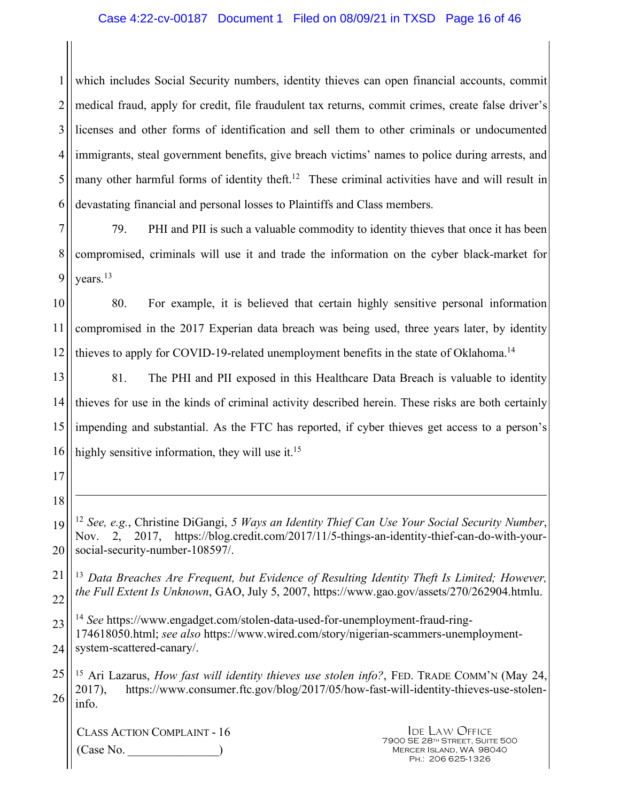#### Case 4:22-cv-00187 Document 1 Filed on 08/09/21 in TXSD Page 16 of 46

1 2 3 4 5 6 which includes Social Security numbers, identity thieves can open financial accounts, commit medical fraud, apply for credit, file fraudulent tax returns, commit crimes, create false driver's licenses and other forms of identification and sell them to other criminals or undocumented immigrants, steal government benefits, give breach victims' names to police during arrests, and many other harmful forms of identity theft.<sup>12</sup> These criminal activities have and will result in devastating financial and personal losses to Plaintiffs and Class members.

7 8 9 79. PHI and PII is such a valuable commodity to identity thieves that once it has been compromised, criminals will use it and trade the information on the cyber black-market for years.<sup>13</sup>

10 11 12 80. For example, it is believed that certain highly sensitive personal information compromised in the 2017 Experian data breach was being used, three years later, by identity thieves to apply for COVID-19-related unemployment benefits in the state of Oklahoma.<sup>14</sup>

13 14 15 16 81. The PHI and PII exposed in this Healthcare Data Breach is valuable to identity thieves for use in the kinds of criminal activity described herein. These risks are both certainly impending and substantial. As the FTC has reported, if cyber thieves get access to a person's highly sensitive information, they will use it.<sup>15</sup>

17

18

 $\overline{a}$ 

- 19 20 <sup>12</sup> *See, e.g.*, Christine DiGangi, *5 Ways an Identity Thief Can Use Your Social Security Number*, Nov. 2, 2017, https://blog.credit.com/2017/11/5-things-an-identity-thief-can-do-with-yoursocial-security-number-108597/.
- 21 22 <sup>13</sup> *Data Breaches Are Frequent, but Evidence of Resulting Identity Theft Is Limited; However, the Full Extent Is Unknown*, GAO, July 5, 2007, https://www.gao.gov/assets/270/262904.htmlu.

23 24 <sup>14</sup> *See* https://www.engadget.com/stolen-data-used-for-unemployment-fraud-ring-174618050.html; *see also* https://www.wired.com/story/nigerian-scammers-unemploymentsystem-scattered-canary/.

25 26 <sup>15</sup> Ari Lazarus, *How fast will identity thieves use stolen info?*, FED. TRADE COMM'N (May 24, 2017), https://www.consumer.ftc.gov/blog/2017/05/how-fast-will-identity-thieves-use-stoleninfo.

CLASS ACTION COMPLAINT - 16 (Case No. \_\_\_\_\_\_\_\_\_\_\_\_\_\_\_)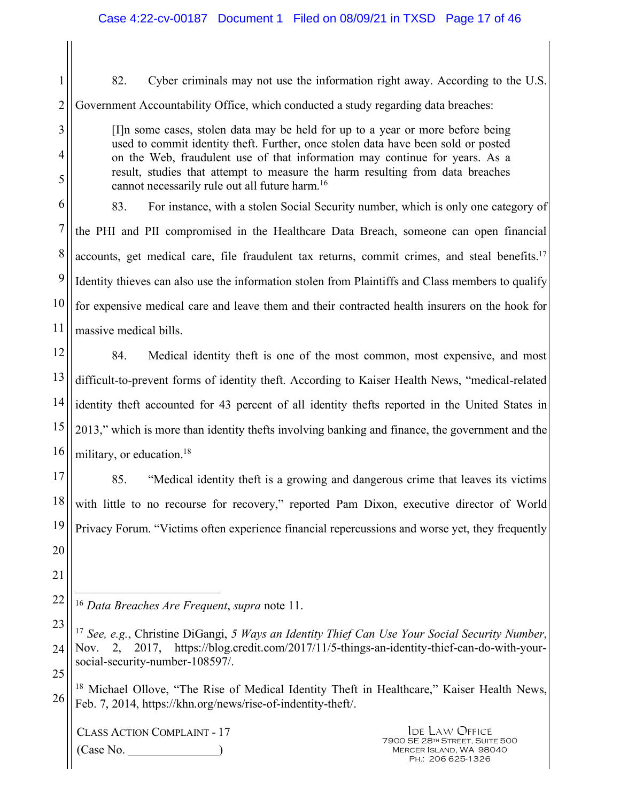1 2 82. Cyber criminals may not use the information right away. According to the U.S. Government Accountability Office, which conducted a study regarding data breaches:

> [I]n some cases, stolen data may be held for up to a year or more before being used to commit identity theft. Further, once stolen data have been sold or posted on the Web, fraudulent use of that information may continue for years. As a result, studies that attempt to measure the harm resulting from data breaches cannot necessarily rule out all future harm.<sup>16</sup>

6 7 8 9 10 11 83. For instance, with a stolen Social Security number, which is only one category of the PHI and PII compromised in the Healthcare Data Breach, someone can open financial accounts, get medical care, file fraudulent tax returns, commit crimes, and steal benefits.<sup>17</sup> Identity thieves can also use the information stolen from Plaintiffs and Class members to qualify for expensive medical care and leave them and their contracted health insurers on the hook for massive medical bills.

12 13 14 15 16 84. Medical identity theft is one of the most common, most expensive, and most difficult-to-prevent forms of identity theft. According to Kaiser Health News, "medical-related identity theft accounted for 43 percent of all identity thefts reported in the United States in 2013," which is more than identity thefts involving banking and finance, the government and the military, or education.<sup>18</sup>

17 18 19 20 85. "Medical identity theft is a growing and dangerous crime that leaves its victims with little to no recourse for recovery," reported Pam Dixon, executive director of World Privacy Forum. "Victims often experience financial repercussions and worse yet, they frequently

CLASS ACTION COMPLAINT - 17  $(Case No)$ 

3

4

5

21

<sup>22</sup>   $\overline{a}$ <sup>16</sup> *Data Breaches Are Frequent*, *supra* note 11.

<sup>23</sup>  24 25 <sup>17</sup> *See, e.g.*, Christine DiGangi, *5 Ways an Identity Thief Can Use Your Social Security Number*, Nov. 2, 2017, https://blog.credit.com/2017/11/5-things-an-identity-thief-can-do-with-yoursocial-security-number-108597/.

<sup>26</sup>  <sup>18</sup> Michael Ollove, "The Rise of Medical Identity Theft in Healthcare," Kaiser Health News, Feb. 7, 2014, https://khn.org/news/rise-of-indentity-theft/.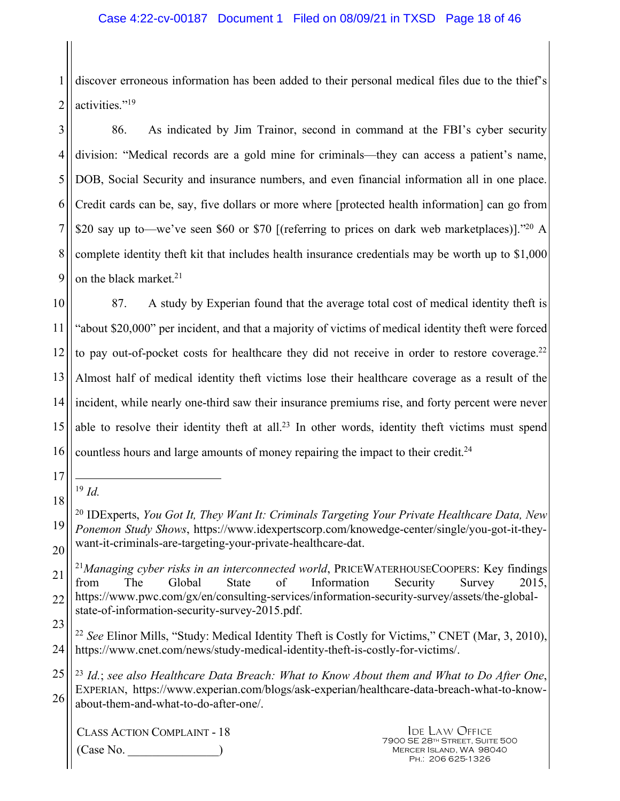1 2 discover erroneous information has been added to their personal medical files due to the thief's activities."<sup>19</sup>

3 4 5 6 7 8 9 86. As indicated by Jim Trainor, second in command at the FBI's cyber security division: "Medical records are a gold mine for criminals—they can access a patient's name, DOB, Social Security and insurance numbers, and even financial information all in one place. Credit cards can be, say, five dollars or more where [protected health information] can go from \$20 say up to—we've seen \$60 or \$70 [(referring to prices on dark web marketplaces)]."20 A complete identity theft kit that includes health insurance credentials may be worth up to \$1,000 on the black market.<sup>21</sup>

10 11 12 13 14 15 16 87. A study by Experian found that the average total cost of medical identity theft is "about \$20,000" per incident, and that a majority of victims of medical identity theft were forced to pay out-of-pocket costs for healthcare they did not receive in order to restore coverage.<sup>22</sup> Almost half of medical identity theft victims lose their healthcare coverage as a result of the incident, while nearly one-third saw their insurance premiums rise, and forty percent were never able to resolve their identity theft at all.<sup>23</sup> In other words, identity theft victims must spend countless hours and large amounts of money repairing the impact to their credit. $24$ 

- 17
- 18  $\overline{a}$  $19 \, Id.$

CLASS ACTION COMPLAINT - 18  $(Case No)$ 

<sup>19</sup>  20 <sup>20</sup> IDExperts, *You Got It, They Want It: Criminals Targeting Your Private Healthcare Data, New Ponemon Study Shows*, https://www.idexpertscorp.com/knowedge-center/single/you-got-it-theywant-it-criminals-are-targeting-your-private-healthcare-dat.

<sup>21</sup>  22 <sup>21</sup>Managing cyber risks in an interconnected world, PRICEWATERHOUSECOOPERS: Key findings from The Global State of Information Security Survey 2015, https://www.pwc.com/gx/en/consulting-services/information-security-survey/assets/the-globalstate-of-information-security-survey-2015.pdf.

<sup>23</sup>  24 <sup>22</sup> *See* Elinor Mills, "Study: Medical Identity Theft is Costly for Victims," CNET (Mar, 3, 2010), https://www.cnet.com/news/study-medical-identity-theft-is-costly-for-victims/.

<sup>25</sup>  26 <sup>23</sup> *Id.*; *see also Healthcare Data Breach: What to Know About them and What to Do After One*, EXPERIAN, https://www.experian.com/blogs/ask-experian/healthcare-data-breach-what-to-knowabout-them-and-what-to-do-after-one/.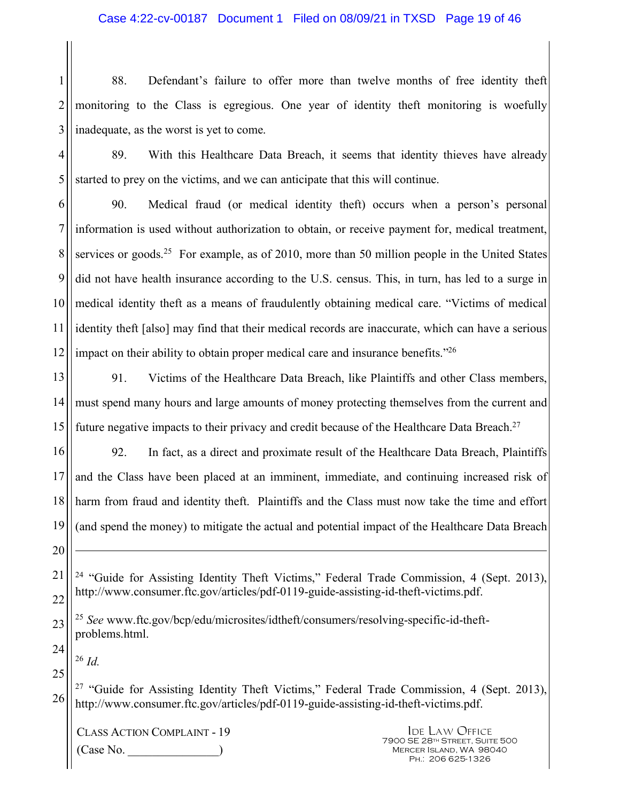1 2 3 88. Defendant's failure to offer more than twelve months of free identity theft monitoring to the Class is egregious. One year of identity theft monitoring is woefully inadequate, as the worst is yet to come.

4 5 89. With this Healthcare Data Breach, it seems that identity thieves have already started to prey on the victims, and we can anticipate that this will continue.

6 7 8 9 10 11 12 90. Medical fraud (or medical identity theft) occurs when a person's personal information is used without authorization to obtain, or receive payment for, medical treatment, services or goods.<sup>25</sup> For example, as of 2010, more than 50 million people in the United States did not have health insurance according to the U.S. census. This, in turn, has led to a surge in medical identity theft as a means of fraudulently obtaining medical care. "Victims of medical identity theft [also] may find that their medical records are inaccurate, which can have a serious impact on their ability to obtain proper medical care and insurance benefits."<sup>26</sup>

13 14 15 91. Victims of the Healthcare Data Breach, like Plaintiffs and other Class members, must spend many hours and large amounts of money protecting themselves from the current and future negative impacts to their privacy and credit because of the Healthcare Data Breach.<sup>27</sup>

16 17 18 19 92. In fact, as a direct and proximate result of the Healthcare Data Breach, Plaintiffs and the Class have been placed at an imminent, immediate, and continuing increased risk of harm from fraud and identity theft. Plaintiffs and the Class must now take the time and effort (and spend the money) to mitigate the actual and potential impact of the Healthcare Data Breach

21 22 <sup>24</sup> "Guide for Assisting Identity Theft Victims," Federal Trade Commission, 4 (Sept. 2013), http://www.consumer.ftc.gov/articles/pdf-0119-guide-assisting-id-theft-victims.pdf.

23 <sup>25</sup> *See* www.ftc.gov/bcp/edu/microsites/idtheft/consumers/resolving-specific-id-theftproblems.html.

<sup>26</sup> *Id.* 

25

24

20

 $\overline{a}$ 

26 <sup>27</sup> "Guide for Assisting Identity Theft Victims," Federal Trade Commission, 4 (Sept. 2013), http://www.consumer.ftc.gov/articles/pdf-0119-guide-assisting-id-theft-victims.pdf.

CLASS ACTION COMPLAINT - 19  $(Case No)$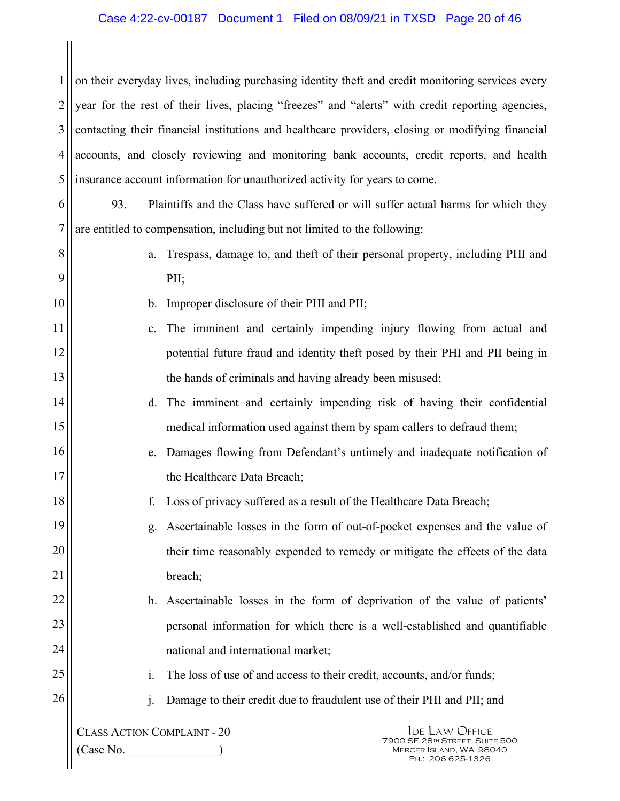1 2 3 4 5 on their everyday lives, including purchasing identity theft and credit monitoring services every year for the rest of their lives, placing "freezes" and "alerts" with credit reporting agencies, contacting their financial institutions and healthcare providers, closing or modifying financial accounts, and closely reviewing and monitoring bank accounts, credit reports, and health insurance account information for unauthorized activity for years to come.

6 7 93. Plaintiffs and the Class have suffered or will suffer actual harms for which they are entitled to compensation, including but not limited to the following:

8 9

10

11

12

13

14

15

16

17

18

19

20

21

22

23

24

a. Trespass, damage to, and theft of their personal property, including PHI and PII;

- b. Improper disclosure of their PHI and PII;
- c. The imminent and certainly impending injury flowing from actual and potential future fraud and identity theft posed by their PHI and PII being in the hands of criminals and having already been misused;
	- d. The imminent and certainly impending risk of having their confidential medical information used against them by spam callers to defraud them;
	- e. Damages flowing from Defendant's untimely and inadequate notification of the Healthcare Data Breach;
		- f. Loss of privacy suffered as a result of the Healthcare Data Breach;
- g. Ascertainable losses in the form of out-of-pocket expenses and the value of their time reasonably expended to remedy or mitigate the effects of the data breach;
- h. Ascertainable losses in the form of deprivation of the value of patients' personal information for which there is a well-established and quantifiable national and international market;
- 25 26
- i. The loss of use of and access to their credit, accounts, and/or funds;
- j. Damage to their credit due to fraudulent use of their PHI and PII; and

CLASS ACTION COMPLAINT - 20  $(Case No)$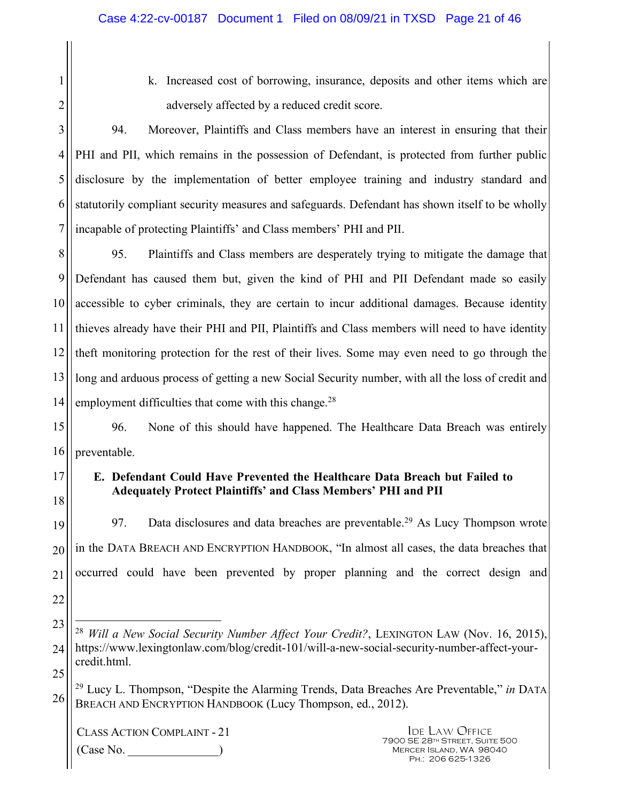- 1 2 11 12
- k. Increased cost of borrowing, insurance, deposits and other items which are adversely affected by a reduced credit score.

3 4 5 6 7 94. Moreover, Plaintiffs and Class members have an interest in ensuring that their PHI and PII, which remains in the possession of Defendant, is protected from further public disclosure by the implementation of better employee training and industry standard and statutorily compliant security measures and safeguards. Defendant has shown itself to be wholly incapable of protecting Plaintiffs' and Class members' PHI and PII.

8 9 10 13 14 95. Plaintiffs and Class members are desperately trying to mitigate the damage that Defendant has caused them but, given the kind of PHI and PII Defendant made so easily accessible to cyber criminals, they are certain to incur additional damages. Because identity thieves already have their PHI and PII, Plaintiffs and Class members will need to have identity theft monitoring protection for the rest of their lives. Some may even need to go through the long and arduous process of getting a new Social Security number, with all the loss of credit and employment difficulties that come with this change.<sup>28</sup>

15 16 96. None of this should have happened. The Healthcare Data Breach was entirely preventable.

#### 17 18 **E. Defendant Could Have Prevented the Healthcare Data Breach but Failed to Adequately Protect Plaintiffs' and Class Members' PHI and PII**

19 20 21 22 97. Data disclosures and data breaches are preventable.<sup>29</sup> As Lucy Thompson wrote in the DATA BREACH AND ENCRYPTION HANDBOOK, "In almost all cases, the data breaches that occurred could have been prevented by proper planning and the correct design and

- 23 24 25  $\overline{a}$ <sup>28</sup> *Will a New Social Security Number Affect Your Credit?*, LEXINGTON LAW (Nov. 16, 2015), https://www.lexingtonlaw.com/blog/credit-101/will-a-new-social-security-number-affect-yourcredit.html.
- 26 <sup>29</sup> Lucy L. Thompson, "Despite the Alarming Trends, Data Breaches Are Preventable," *in* DATA BREACH AND ENCRYPTION HANDBOOK (Lucy Thompson, ed., 2012).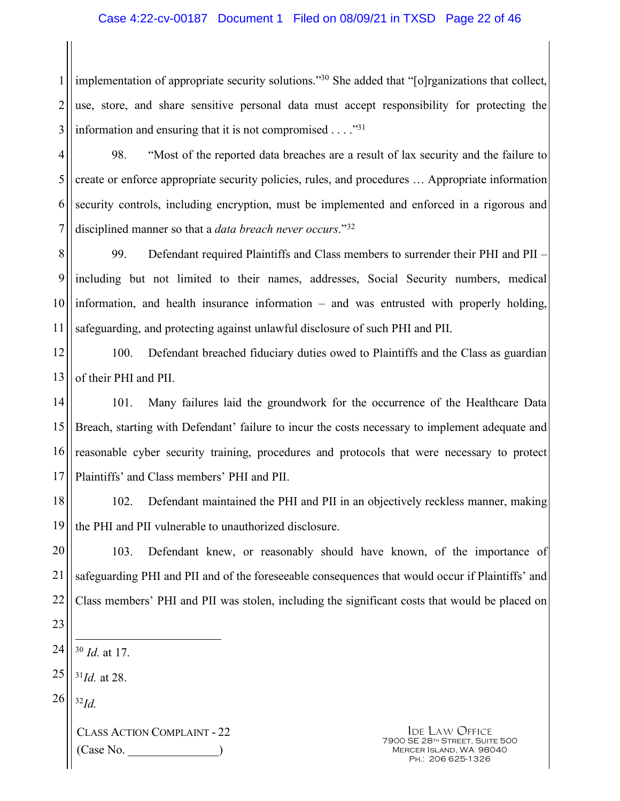#### Case 4:22-cv-00187 Document 1 Filed on 08/09/21 in TXSD Page 22 of 46

1 2 3 implementation of appropriate security solutions."<sup>30</sup> She added that "[o]rganizations that collect, use, store, and share sensitive personal data must accept responsibility for protecting the information and ensuring that it is not compromised . . . ."<sup>31</sup>

4 5

6

7

98. "Most of the reported data breaches are a result of lax security and the failure to create or enforce appropriate security policies, rules, and procedures … Appropriate information security controls, including encryption, must be implemented and enforced in a rigorous and disciplined manner so that a *data breach never occurs*."<sup>32</sup>

8 9 10 11 99. Defendant required Plaintiffs and Class members to surrender their PHI and PII – including but not limited to their names, addresses, Social Security numbers, medical information, and health insurance information – and was entrusted with properly holding, safeguarding, and protecting against unlawful disclosure of such PHI and PII.

12 13 100. Defendant breached fiduciary duties owed to Plaintiffs and the Class as guardian of their PHI and PII.

14 15 16 17 101. Many failures laid the groundwork for the occurrence of the Healthcare Data Breach, starting with Defendant' failure to incur the costs necessary to implement adequate and reasonable cyber security training, procedures and protocols that were necessary to protect Plaintiffs' and Class members' PHI and PII.

18 19 102. Defendant maintained the PHI and PII in an objectively reckless manner, making the PHI and PII vulnerable to unauthorized disclosure.

20 21 22 103. Defendant knew, or reasonably should have known, of the importance of safeguarding PHI and PII and of the foreseeable consequences that would occur if Plaintiffs' and Class members' PHI and PII was stolen, including the significant costs that would be placed on

- 23
- 24 <sup>30</sup> *Id.* at 17.

25 <sup>31</sup>*Id.* at 28.

26 <sup>32</sup>*Id.*

 $\overline{a}$ 

CLASS ACTION COMPLAINT - 22  $(Case No)$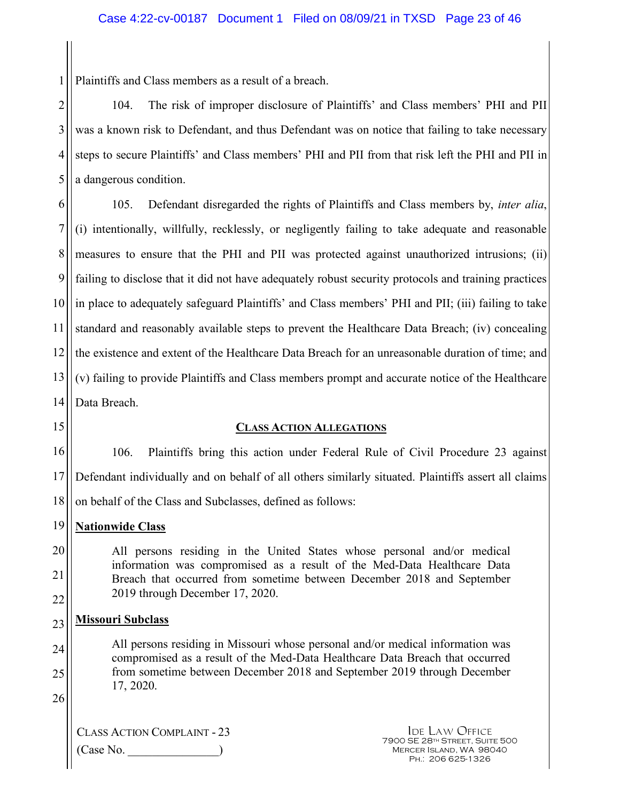Plaintiffs and Class members as a result of a breach.

2 3 4 5 104. The risk of improper disclosure of Plaintiffs' and Class members' PHI and PII was a known risk to Defendant, and thus Defendant was on notice that failing to take necessary steps to secure Plaintiffs' and Class members' PHI and PII from that risk left the PHI and PII in a dangerous condition.

6 7 8 9 10 11 12 13 14 105. Defendant disregarded the rights of Plaintiffs and Class members by, *inter alia*, (i) intentionally, willfully, recklessly, or negligently failing to take adequate and reasonable measures to ensure that the PHI and PII was protected against unauthorized intrusions; (ii) failing to disclose that it did not have adequately robust security protocols and training practices in place to adequately safeguard Plaintiffs' and Class members' PHI and PII; (iii) failing to take standard and reasonably available steps to prevent the Healthcare Data Breach; (iv) concealing the existence and extent of the Healthcare Data Breach for an unreasonable duration of time; and (v) failing to provide Plaintiffs and Class members prompt and accurate notice of the Healthcare Data Breach.

15

1

#### **CLASS ACTION ALLEGATIONS**

16 17 18 106. Plaintiffs bring this action under Federal Rule of Civil Procedure 23 against Defendant individually and on behalf of all others similarly situated. Plaintiffs assert all claims on behalf of the Class and Subclasses, defined as follows:

- 19 **Nationwide Class**
- 20 21 22 All persons residing in the United States whose personal and/or medical information was compromised as a result of the Med-Data Healthcare Data Breach that occurred from sometime between December 2018 and September 2019 through December 17, 2020.
- 23 **Missouri Subclass**
- 24 25 All persons residing in Missouri whose personal and/or medical information was compromised as a result of the Med-Data Healthcare Data Breach that occurred from sometime between December 2018 and September 2019 through December 17, 2020.
- 26

CLASS ACTION COMPLAINT - 23 (Case No. \_\_\_\_\_\_\_\_\_\_\_\_\_\_\_)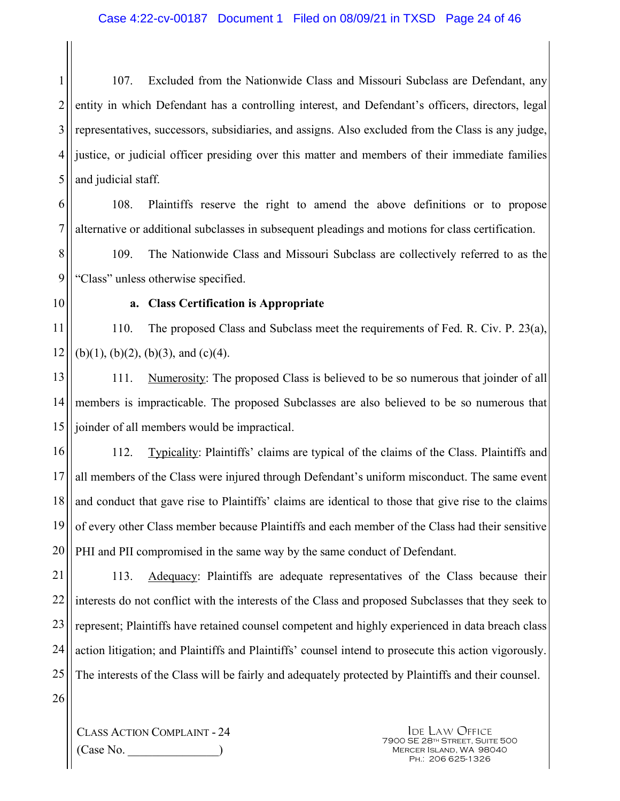1 2 3 4 5 107. Excluded from the Nationwide Class and Missouri Subclass are Defendant, any entity in which Defendant has a controlling interest, and Defendant's officers, directors, legal representatives, successors, subsidiaries, and assigns. Also excluded from the Class is any judge, justice, or judicial officer presiding over this matter and members of their immediate families and judicial staff.

6 7 108. Plaintiffs reserve the right to amend the above definitions or to propose alternative or additional subclasses in subsequent pleadings and motions for class certification.

8 9 109. The Nationwide Class and Missouri Subclass are collectively referred to as the "Class" unless otherwise specified.

10

### **a. Class Certification is Appropriate**

11 12 110. The proposed Class and Subclass meet the requirements of Fed. R. Civ. P. 23(a), (b)(1), (b)(2), (b)(3), and (c)(4).

13 14 15 111. Numerosity: The proposed Class is believed to be so numerous that joinder of all members is impracticable. The proposed Subclasses are also believed to be so numerous that joinder of all members would be impractical.

16 17 18 19 20 112. Typicality: Plaintiffs' claims are typical of the claims of the Class. Plaintiffs and all members of the Class were injured through Defendant's uniform misconduct. The same event and conduct that gave rise to Plaintiffs' claims are identical to those that give rise to the claims of every other Class member because Plaintiffs and each member of the Class had their sensitive PHI and PII compromised in the same way by the same conduct of Defendant.

21 22 23 24 25 113. Adequacy: Plaintiffs are adequate representatives of the Class because their interests do not conflict with the interests of the Class and proposed Subclasses that they seek to represent; Plaintiffs have retained counsel competent and highly experienced in data breach class action litigation; and Plaintiffs and Plaintiffs' counsel intend to prosecute this action vigorously. The interests of the Class will be fairly and adequately protected by Plaintiffs and their counsel.

26

CLASS ACTION COMPLAINT - 24 (Case No. \_\_\_\_\_\_\_\_\_\_\_\_\_\_\_)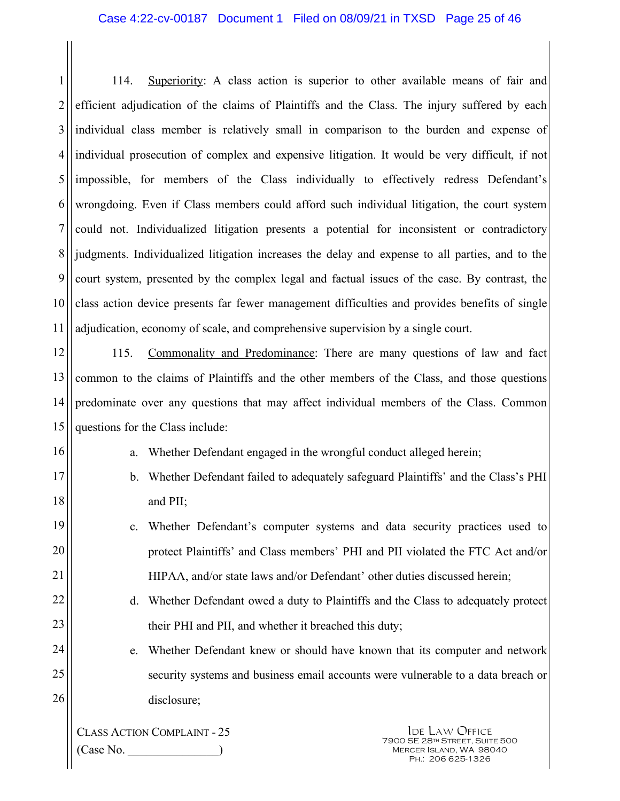1 2 3 4 5 6 7 8 9 10 11 114. Superiority: A class action is superior to other available means of fair and efficient adjudication of the claims of Plaintiffs and the Class. The injury suffered by each individual class member is relatively small in comparison to the burden and expense of individual prosecution of complex and expensive litigation. It would be very difficult, if not impossible, for members of the Class individually to effectively redress Defendant's wrongdoing. Even if Class members could afford such individual litigation, the court system could not. Individualized litigation presents a potential for inconsistent or contradictory judgments. Individualized litigation increases the delay and expense to all parties, and to the court system, presented by the complex legal and factual issues of the case. By contrast, the class action device presents far fewer management difficulties and provides benefits of single adjudication, economy of scale, and comprehensive supervision by a single court.

12 13 14 15 115. Commonality and Predominance: There are many questions of law and fact common to the claims of Plaintiffs and the other members of the Class, and those questions predominate over any questions that may affect individual members of the Class. Common questions for the Class include:

16

17

18

19

20

21

24

25

26

a. Whether Defendant engaged in the wrongful conduct alleged herein;

- b. Whether Defendant failed to adequately safeguard Plaintiffs' and the Class's PHI and PII;
- c. Whether Defendant's computer systems and data security practices used to protect Plaintiffs' and Class members' PHI and PII violated the FTC Act and/or HIPAA, and/or state laws and/or Defendant' other duties discussed herein;
- 22 23 d. Whether Defendant owed a duty to Plaintiffs and the Class to adequately protect their PHI and PII, and whether it breached this duty;
	- e. Whether Defendant knew or should have known that its computer and network security systems and business email accounts were vulnerable to a data breach or disclosure;

CLASS ACTION COMPLAINT - 25 (Case No. \_\_\_\_\_\_\_\_\_\_\_\_\_\_\_)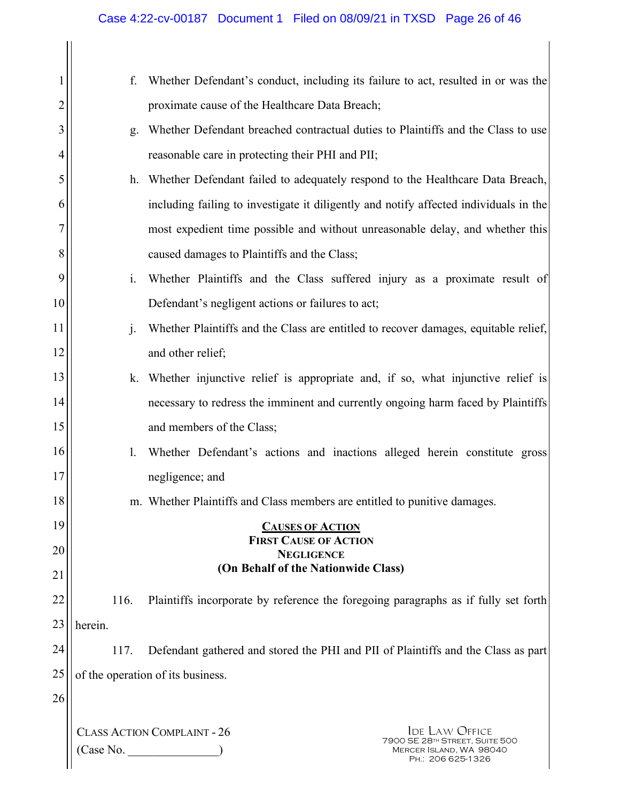# Case 4:22-cv-00187 Document 1 Filed on 08/09/21 in TXSD Page 26 of 46

| 1              | f.                                                                                    | Whether Defendant's conduct, including its failure to act, resulted in or was the                                                             |  |  |
|----------------|---------------------------------------------------------------------------------------|-----------------------------------------------------------------------------------------------------------------------------------------------|--|--|
| $\overline{c}$ |                                                                                       | proximate cause of the Healthcare Data Breach;                                                                                                |  |  |
| 3              | g.                                                                                    | Whether Defendant breached contractual duties to Plaintiffs and the Class to use                                                              |  |  |
| 4              |                                                                                       | reasonable care in protecting their PHI and PII;                                                                                              |  |  |
| 5              | h.                                                                                    | Whether Defendant failed to adequately respond to the Healthcare Data Breach,                                                                 |  |  |
| 6              | including failing to investigate it diligently and notify affected individuals in the |                                                                                                                                               |  |  |
| 7              | most expedient time possible and without unreasonable delay, and whether this         |                                                                                                                                               |  |  |
| 8              |                                                                                       | caused damages to Plaintiffs and the Class;                                                                                                   |  |  |
| 9              | $\mathbf{i}$ .                                                                        | Whether Plaintiffs and the Class suffered injury as a proximate result of                                                                     |  |  |
| 10             |                                                                                       | Defendant's negligent actions or failures to act;                                                                                             |  |  |
| 11             | $\mathbf{J}$                                                                          | Whether Plaintiffs and the Class are entitled to recover damages, equitable relief,                                                           |  |  |
| 12             |                                                                                       | and other relief;                                                                                                                             |  |  |
| 13             | k.                                                                                    | Whether injunctive relief is appropriate and, if so, what injunctive relief is                                                                |  |  |
| 14             |                                                                                       | necessary to redress the imminent and currently ongoing harm faced by Plaintiffs                                                              |  |  |
| 15             |                                                                                       | and members of the Class;                                                                                                                     |  |  |
| 16             | Whether Defendant's actions and inactions alleged herein constitute gross<br>1.       |                                                                                                                                               |  |  |
| 17             |                                                                                       | negligence; and                                                                                                                               |  |  |
| 18             |                                                                                       | m. Whether Plaintiffs and Class members are entitled to punitive damages.                                                                     |  |  |
| 19             |                                                                                       | <b>CAUSES OF ACTION</b>                                                                                                                       |  |  |
| 20             | <b>FIRST CAUSE OF ACTION</b><br><b>NEGLIGENCE</b>                                     |                                                                                                                                               |  |  |
| 21             |                                                                                       | (On Behalf of the Nationwide Class)                                                                                                           |  |  |
| 22             | 116.                                                                                  | Plaintiffs incorporate by reference the foregoing paragraphs as if fully set forth                                                            |  |  |
| 23             | herein.                                                                               |                                                                                                                                               |  |  |
| 24             | 117.                                                                                  | Defendant gathered and stored the PHI and PII of Plaintiffs and the Class as part                                                             |  |  |
| 25             | of the operation of its business.                                                     |                                                                                                                                               |  |  |
| 26             |                                                                                       |                                                                                                                                               |  |  |
|                | (Case No.                                                                             | <b>CLASS ACTION COMPLAINT - 26</b><br><b>IDE LAW OFFICE</b><br>7900 SE 28TH STREET, SUITE 500<br>MERCER ISLAND, WA 98040<br>Рн.: 206 625-1326 |  |  |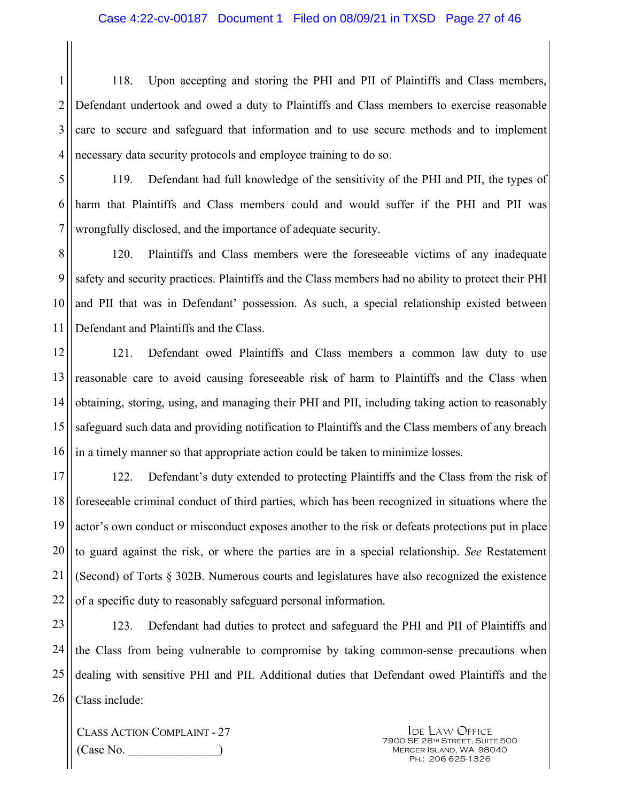1 2 3 4 118. Upon accepting and storing the PHI and PII of Plaintiffs and Class members, Defendant undertook and owed a duty to Plaintiffs and Class members to exercise reasonable care to secure and safeguard that information and to use secure methods and to implement necessary data security protocols and employee training to do so.

5 6

7

119. Defendant had full knowledge of the sensitivity of the PHI and PII, the types of harm that Plaintiffs and Class members could and would suffer if the PHI and PII was wrongfully disclosed, and the importance of adequate security.

8 9 10 11 120. Plaintiffs and Class members were the foreseeable victims of any inadequate safety and security practices. Plaintiffs and the Class members had no ability to protect their PHI and PII that was in Defendant' possession. As such, a special relationship existed between Defendant and Plaintiffs and the Class.

12 13 14 15 16 121. Defendant owed Plaintiffs and Class members a common law duty to use reasonable care to avoid causing foreseeable risk of harm to Plaintiffs and the Class when obtaining, storing, using, and managing their PHI and PII, including taking action to reasonably safeguard such data and providing notification to Plaintiffs and the Class members of any breach in a timely manner so that appropriate action could be taken to minimize losses.

17 18 19 20 21 22 122. Defendant's duty extended to protecting Plaintiffs and the Class from the risk of foreseeable criminal conduct of third parties, which has been recognized in situations where the actor's own conduct or misconduct exposes another to the risk or defeats protections put in place to guard against the risk, or where the parties are in a special relationship. *See* Restatement (Second) of Torts § 302B. Numerous courts and legislatures have also recognized the existence of a specific duty to reasonably safeguard personal information.

23 24 25 26 123. Defendant had duties to protect and safeguard the PHI and PII of Plaintiffs and the Class from being vulnerable to compromise by taking common-sense precautions when dealing with sensitive PHI and PII. Additional duties that Defendant owed Plaintiffs and the Class include:

CLASS ACTION COMPLAINT - 27 (Case No. \_\_\_\_\_\_\_\_\_\_\_\_\_\_\_)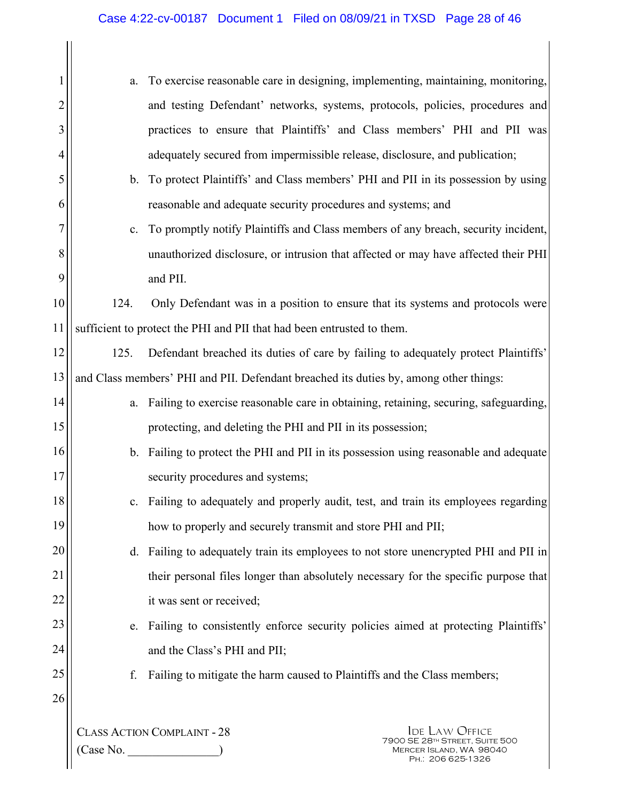|                | a.                                                                                    | To exercise reasonable care in designing, implementing, maintaining, monitoring,      |
|----------------|---------------------------------------------------------------------------------------|---------------------------------------------------------------------------------------|
| $\overline{2}$ |                                                                                       | and testing Defendant' networks, systems, protocols, policies, procedures and         |
| 3              |                                                                                       | practices to ensure that Plaintiffs' and Class members' PHI and PII was               |
| 4              |                                                                                       | adequately secured from impermissible release, disclosure, and publication;           |
| 5              | $\mathbf{b}$ .                                                                        | To protect Plaintiffs' and Class members' PHI and PII in its possession by using      |
| 6              |                                                                                       | reasonable and adequate security procedures and systems; and                          |
| 7              | $\mathbf{c}$ .                                                                        | To promptly notify Plaintiffs and Class members of any breach, security incident,     |
| 8              |                                                                                       | unauthorized disclosure, or intrusion that affected or may have affected their PHI    |
| 9              |                                                                                       | and PII.                                                                              |
| 10             | 124.                                                                                  | Only Defendant was in a position to ensure that its systems and protocols were        |
| 11             |                                                                                       | sufficient to protect the PHI and PII that had been entrusted to them.                |
| 12             | 125.                                                                                  | Defendant breached its duties of care by failing to adequately protect Plaintiffs'    |
| 13             | and Class members' PHI and PII. Defendant breached its duties by, among other things: |                                                                                       |
| 14             | a.                                                                                    | Failing to exercise reasonable care in obtaining, retaining, securing, safeguarding,  |
| 15             |                                                                                       | protecting, and deleting the PHI and PII in its possession;                           |
| 16             |                                                                                       | b. Failing to protect the PHI and PII in its possession using reasonable and adequate |
| 17             |                                                                                       | security procedures and systems;                                                      |
| 18             | $\mathbf{c}$ .                                                                        | Failing to adequately and properly audit, test, and train its employees regarding     |
| 19             |                                                                                       | how to properly and securely transmit and store PHI and PII;                          |
| 20             | d.                                                                                    | Failing to adequately train its employees to not store unencrypted PHI and PII in     |
| 21             |                                                                                       | their personal files longer than absolutely necessary for the specific purpose that   |
| 22             |                                                                                       | it was sent or received;                                                              |
| 23             | e.                                                                                    | Failing to consistently enforce security policies aimed at protecting Plaintiffs'     |
| 24             |                                                                                       | and the Class's PHI and PII;                                                          |
| 25             | f.                                                                                    | Failing to mitigate the harm caused to Plaintiffs and the Class members;              |
| 26             |                                                                                       |                                                                                       |
|                |                                                                                       | <b>CLASS ACTION COMPLAINT - 28</b><br><b>IDE LAW OFFICE</b>                           |
|                | $(\bigcap_{\alpha\in\mathcal{P}}$ No                                                  | 7900 SE 28TH STREET, SUITE 500<br>MERCER ISLAND WA 98040                              |

 $(Case No.$  $\frac{1}{2}$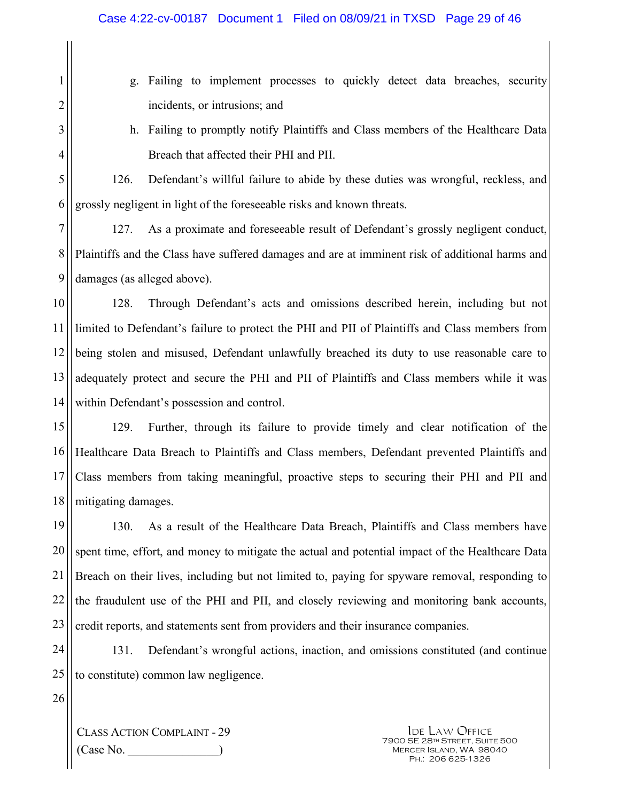- g. Failing to implement processes to quickly detect data breaches, security incidents, or intrusions; and
- h. Failing to promptly notify Plaintiffs and Class members of the Healthcare Data Breach that affected their PHI and PII.

1

2

3

4

5

6

126. Defendant's willful failure to abide by these duties was wrongful, reckless, and grossly negligent in light of the foreseeable risks and known threats.

7 8 9 127. As a proximate and foreseeable result of Defendant's grossly negligent conduct, Plaintiffs and the Class have suffered damages and are at imminent risk of additional harms and damages (as alleged above).

10 11 12 13 14 128. Through Defendant's acts and omissions described herein, including but not limited to Defendant's failure to protect the PHI and PII of Plaintiffs and Class members from being stolen and misused, Defendant unlawfully breached its duty to use reasonable care to adequately protect and secure the PHI and PII of Plaintiffs and Class members while it was within Defendant's possession and control.

15 16 17 18 129. Further, through its failure to provide timely and clear notification of the Healthcare Data Breach to Plaintiffs and Class members, Defendant prevented Plaintiffs and Class members from taking meaningful, proactive steps to securing their PHI and PII and mitigating damages.

19 20 21 22 23 130. As a result of the Healthcare Data Breach, Plaintiffs and Class members have spent time, effort, and money to mitigate the actual and potential impact of the Healthcare Data Breach on their lives, including but not limited to, paying for spyware removal, responding to the fraudulent use of the PHI and PII, and closely reviewing and monitoring bank accounts, credit reports, and statements sent from providers and their insurance companies.

24 25 131. Defendant's wrongful actions, inaction, and omissions constituted (and continue to constitute) common law negligence.

26

CLASS ACTION COMPLAINT - 29 (Case No. \_\_\_\_\_\_\_\_\_\_\_\_\_\_\_)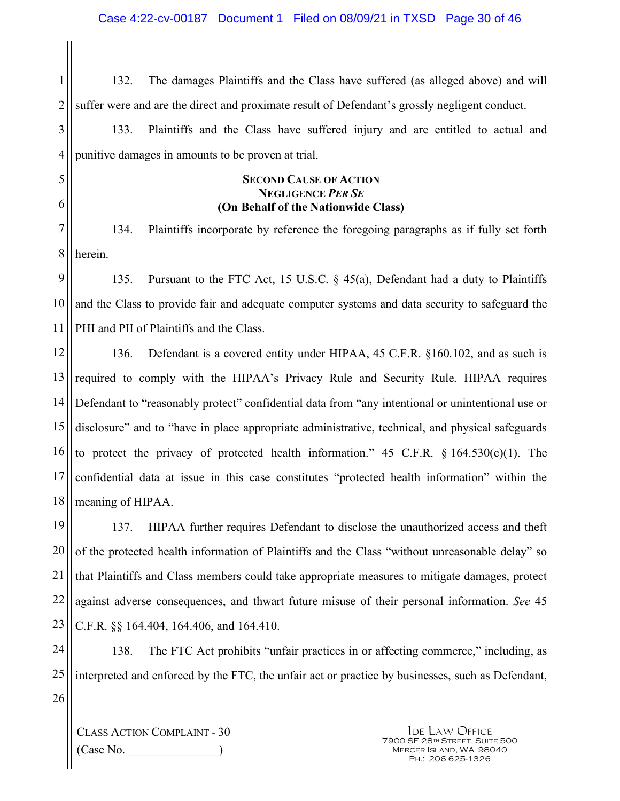1 2 132. The damages Plaintiffs and the Class have suffered (as alleged above) and will suffer were and are the direct and proximate result of Defendant's grossly negligent conduct.

3 4 133. Plaintiffs and the Class have suffered injury and are entitled to actual and punitive damages in amounts to be proven at trial.

#### **SECOND CAUSE OF ACTION NEGLIGENCE** *PER SE* **(On Behalf of the Nationwide Class)**

7 8 134. Plaintiffs incorporate by reference the foregoing paragraphs as if fully set forth herein.

9 10 11 135. Pursuant to the FTC Act, 15 U.S.C. § 45(a), Defendant had a duty to Plaintiffs and the Class to provide fair and adequate computer systems and data security to safeguard the PHI and PII of Plaintiffs and the Class.

12 13 14 15 16 17 18 136. Defendant is a covered entity under HIPAA, 45 C.F.R. §160.102, and as such is required to comply with the HIPAA's Privacy Rule and Security Rule. HIPAA requires Defendant to "reasonably protect" confidential data from "any intentional or unintentional use or disclosure" and to "have in place appropriate administrative, technical, and physical safeguards to protect the privacy of protected health information."  $45$  C.F.R.  $\S$  164.530(c)(1). The confidential data at issue in this case constitutes "protected health information" within the meaning of HIPAA.

19 20 21 22 23 137. HIPAA further requires Defendant to disclose the unauthorized access and theft of the protected health information of Plaintiffs and the Class "without unreasonable delay" so that Plaintiffs and Class members could take appropriate measures to mitigate damages, protect against adverse consequences, and thwart future misuse of their personal information. *See* 45 C.F.R. §§ 164.404, 164.406, and 164.410.

24 25 26 138. The FTC Act prohibits "unfair practices in or affecting commerce," including, as interpreted and enforced by the FTC, the unfair act or practice by businesses, such as Defendant,

CLASS ACTION COMPLAINT - 30  $(Case No)$ 

5

6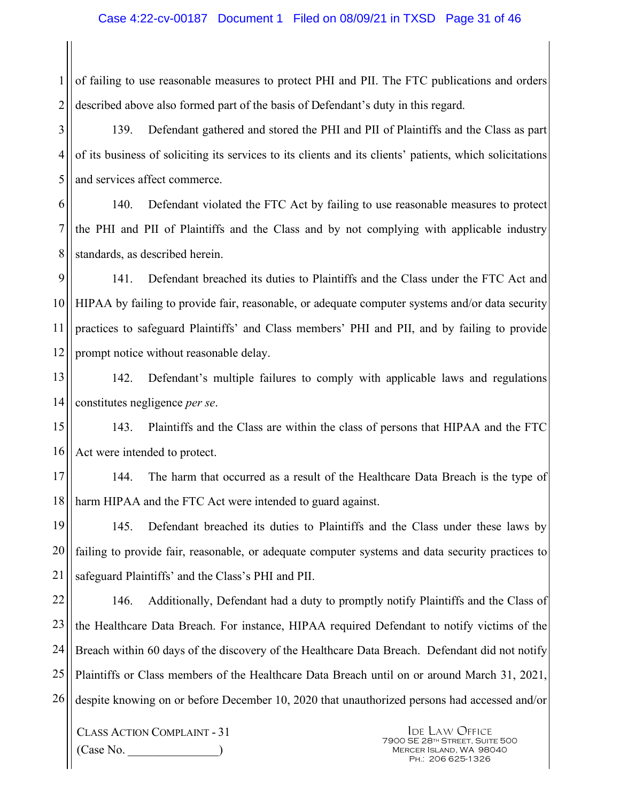1 2 of failing to use reasonable measures to protect PHI and PII. The FTC publications and orders described above also formed part of the basis of Defendant's duty in this regard.

3 4 5 139. Defendant gathered and stored the PHI and PII of Plaintiffs and the Class as part of its business of soliciting its services to its clients and its clients' patients, which solicitations and services affect commerce.

6 7 8 140. Defendant violated the FTC Act by failing to use reasonable measures to protect the PHI and PII of Plaintiffs and the Class and by not complying with applicable industry standards, as described herein.

9 10 11 12 141. Defendant breached its duties to Plaintiffs and the Class under the FTC Act and HIPAA by failing to provide fair, reasonable, or adequate computer systems and/or data security practices to safeguard Plaintiffs' and Class members' PHI and PII, and by failing to provide prompt notice without reasonable delay.

13 14 142. Defendant's multiple failures to comply with applicable laws and regulations constitutes negligence *per se*.

15 16 143. Plaintiffs and the Class are within the class of persons that HIPAA and the FTC Act were intended to protect.

17 18 144. The harm that occurred as a result of the Healthcare Data Breach is the type of harm HIPAA and the FTC Act were intended to guard against.

19 20 21 145. Defendant breached its duties to Plaintiffs and the Class under these laws by failing to provide fair, reasonable, or adequate computer systems and data security practices to safeguard Plaintiffs' and the Class's PHI and PII.

22 23 24 25 26 146. Additionally, Defendant had a duty to promptly notify Plaintiffs and the Class of the Healthcare Data Breach. For instance, HIPAA required Defendant to notify victims of the Breach within 60 days of the discovery of the Healthcare Data Breach. Defendant did not notify Plaintiffs or Class members of the Healthcare Data Breach until on or around March 31, 2021, despite knowing on or before December 10, 2020 that unauthorized persons had accessed and/or

CLASS ACTION COMPLAINT - 31  $(Case No)$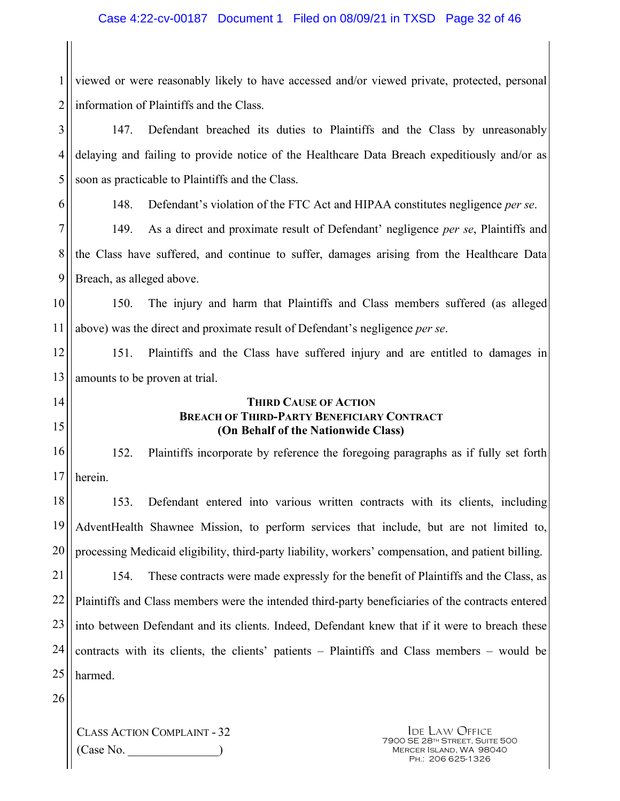1 2 viewed or were reasonably likely to have accessed and/or viewed private, protected, personal information of Plaintiffs and the Class.

3 4 5 147. Defendant breached its duties to Plaintiffs and the Class by unreasonably delaying and failing to provide notice of the Healthcare Data Breach expeditiously and/or as soon as practicable to Plaintiffs and the Class.

6

148. Defendant's violation of the FTC Act and HIPAA constitutes negligence *per se*.

7 8 9 149. As a direct and proximate result of Defendant' negligence *per se*, Plaintiffs and the Class have suffered, and continue to suffer, damages arising from the Healthcare Data Breach, as alleged above.

10 11 150. The injury and harm that Plaintiffs and Class members suffered (as alleged above) was the direct and proximate result of Defendant's negligence *per se*.

12 13 151. Plaintiffs and the Class have suffered injury and are entitled to damages in amounts to be proven at trial.

14

15

#### **THIRD CAUSE OF ACTION BREACH OF THIRD-PARTY BENEFICIARY CONTRACT (On Behalf of the Nationwide Class)**

16 17 152. Plaintiffs incorporate by reference the foregoing paragraphs as if fully set forth herein.

18 19 20 153. Defendant entered into various written contracts with its clients, including AdventHealth Shawnee Mission, to perform services that include, but are not limited to, processing Medicaid eligibility, third-party liability, workers' compensation, and patient billing.

21 22 23 24 25 154. These contracts were made expressly for the benefit of Plaintiffs and the Class, as Plaintiffs and Class members were the intended third-party beneficiaries of the contracts entered into between Defendant and its clients. Indeed, Defendant knew that if it were to breach these contracts with its clients, the clients' patients – Plaintiffs and Class members – would be harmed.

26

CLASS ACTION COMPLAINT - 32  $(Case No)$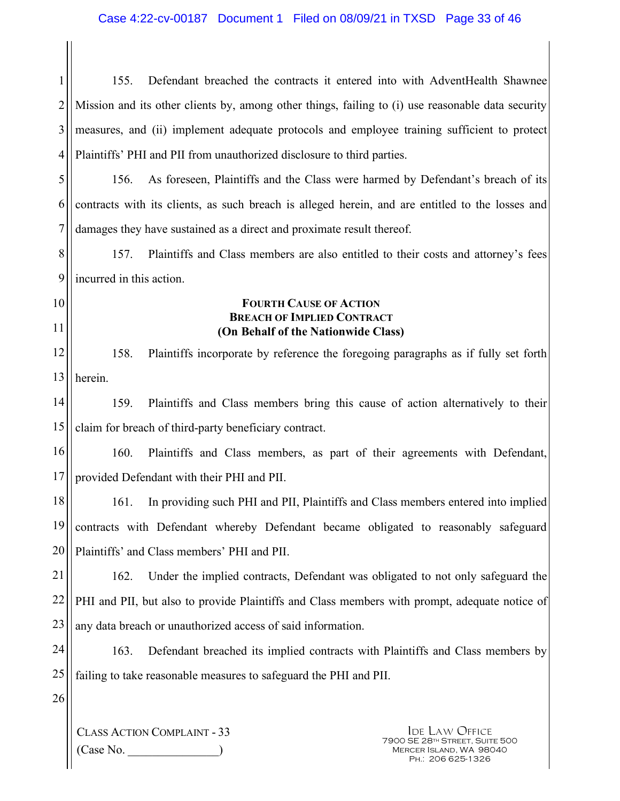1 2 3 4 155. Defendant breached the contracts it entered into with AdventHealth Shawnee Mission and its other clients by, among other things, failing to (i) use reasonable data security measures, and (ii) implement adequate protocols and employee training sufficient to protect Plaintiffs' PHI and PII from unauthorized disclosure to third parties.

5 6 7 156. As foreseen, Plaintiffs and the Class were harmed by Defendant's breach of its contracts with its clients, as such breach is alleged herein, and are entitled to the losses and damages they have sustained as a direct and proximate result thereof.

8 9 157. Plaintiffs and Class members are also entitled to their costs and attorney's fees incurred in this action.

10

11

#### **FOURTH CAUSE OF ACTION BREACH OF IMPLIED CONTRACT (On Behalf of the Nationwide Class)**

12 13 158. Plaintiffs incorporate by reference the foregoing paragraphs as if fully set forth herein.

14 15 159. Plaintiffs and Class members bring this cause of action alternatively to their claim for breach of third-party beneficiary contract.

16 17 160. Plaintiffs and Class members, as part of their agreements with Defendant, provided Defendant with their PHI and PII.

18 19 20 161. In providing such PHI and PII, Plaintiffs and Class members entered into implied contracts with Defendant whereby Defendant became obligated to reasonably safeguard Plaintiffs' and Class members' PHI and PII.

21 22 23 162. Under the implied contracts, Defendant was obligated to not only safeguard the PHI and PII, but also to provide Plaintiffs and Class members with prompt, adequate notice of any data breach or unauthorized access of said information.

- 24 25 163. Defendant breached its implied contracts with Plaintiffs and Class members by failing to take reasonable measures to safeguard the PHI and PII.
- 26

CLASS ACTION COMPLAINT - 33  $(Case No)$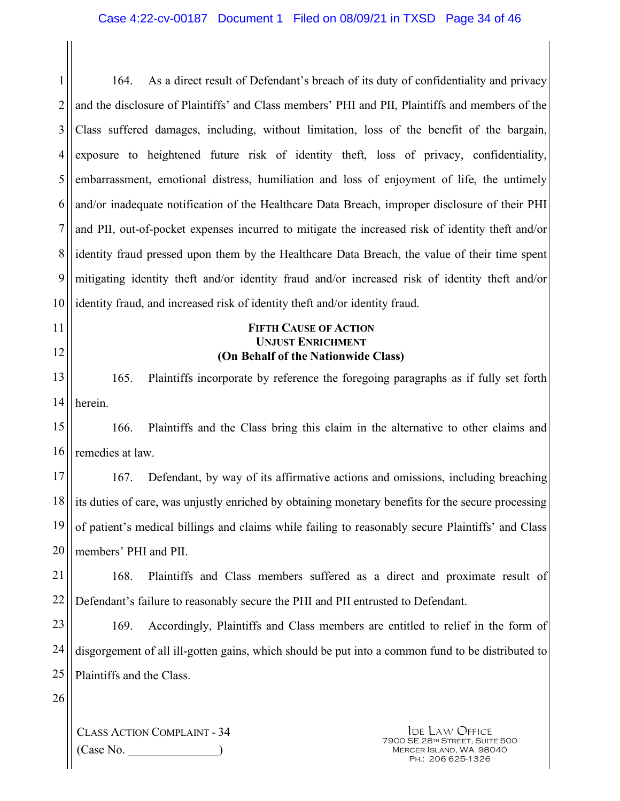1 2 3 4 5 6 7 8 9 10 164. As a direct result of Defendant's breach of its duty of confidentiality and privacy and the disclosure of Plaintiffs' and Class members' PHI and PII, Plaintiffs and members of the Class suffered damages, including, without limitation, loss of the benefit of the bargain, exposure to heightened future risk of identity theft, loss of privacy, confidentiality, embarrassment, emotional distress, humiliation and loss of enjoyment of life, the untimely and/or inadequate notification of the Healthcare Data Breach, improper disclosure of their PHI and PII, out-of-pocket expenses incurred to mitigate the increased risk of identity theft and/or identity fraud pressed upon them by the Healthcare Data Breach, the value of their time spent mitigating identity theft and/or identity fraud and/or increased risk of identity theft and/or identity fraud, and increased risk of identity theft and/or identity fraud.

> **FIFTH CAUSE OF ACTION UNJUST ENRICHMENT (On Behalf of the Nationwide Class)**

13 14 165. Plaintiffs incorporate by reference the foregoing paragraphs as if fully set forth herein.

15 16 166. Plaintiffs and the Class bring this claim in the alternative to other claims and remedies at law.

17 18 19 20 167. Defendant, by way of its affirmative actions and omissions, including breaching its duties of care, was unjustly enriched by obtaining monetary benefits for the secure processing of patient's medical billings and claims while failing to reasonably secure Plaintiffs' and Class members' PHI and PII.

21 22 168. Plaintiffs and Class members suffered as a direct and proximate result of Defendant's failure to reasonably secure the PHI and PII entrusted to Defendant.

23 24 25 169. Accordingly, Plaintiffs and Class members are entitled to relief in the form of disgorgement of all ill-gotten gains, which should be put into a common fund to be distributed to Plaintiffs and the Class.

26

11

12

CLASS ACTION COMPLAINT - 34  $(Case No)$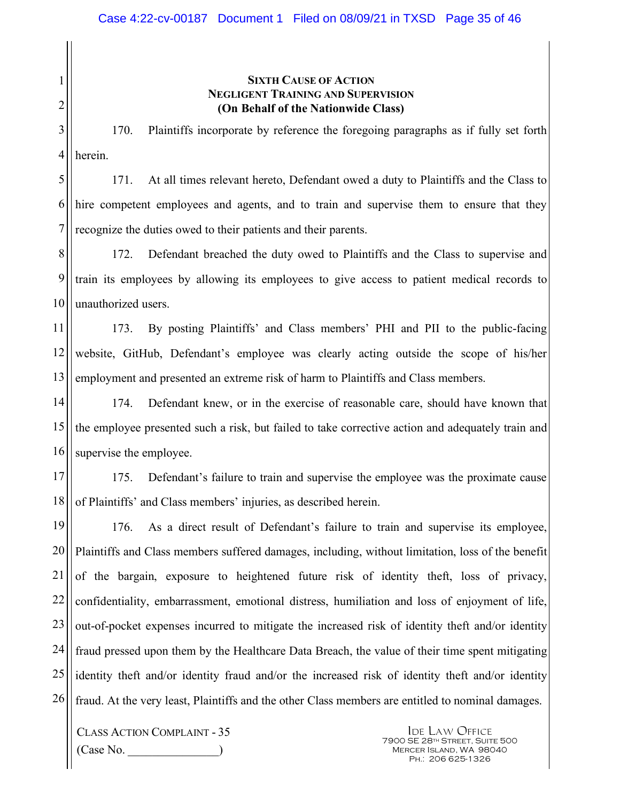### **SIXTH CAUSE OF ACTION NEGLIGENT TRAINING AND SUPERVISION (On Behalf of the Nationwide Class)**

3 4 170. Plaintiffs incorporate by reference the foregoing paragraphs as if fully set forth herein.

5 6 7 171. At all times relevant hereto, Defendant owed a duty to Plaintiffs and the Class to hire competent employees and agents, and to train and supervise them to ensure that they recognize the duties owed to their patients and their parents.

8 9 10 172. Defendant breached the duty owed to Plaintiffs and the Class to supervise and train its employees by allowing its employees to give access to patient medical records to unauthorized users.

11 12 13 173. By posting Plaintiffs' and Class members' PHI and PII to the public-facing website, GitHub, Defendant's employee was clearly acting outside the scope of his/her employment and presented an extreme risk of harm to Plaintiffs and Class members.

14 15 16 174. Defendant knew, or in the exercise of reasonable care, should have known that the employee presented such a risk, but failed to take corrective action and adequately train and supervise the employee.

17 18 175. Defendant's failure to train and supervise the employee was the proximate cause of Plaintiffs' and Class members' injuries, as described herein.

19 20 21 22 23 24 25 26 176. As a direct result of Defendant's failure to train and supervise its employee, Plaintiffs and Class members suffered damages, including, without limitation, loss of the benefit of the bargain, exposure to heightened future risk of identity theft, loss of privacy, confidentiality, embarrassment, emotional distress, humiliation and loss of enjoyment of life, out-of-pocket expenses incurred to mitigate the increased risk of identity theft and/or identity fraud pressed upon them by the Healthcare Data Breach, the value of their time spent mitigating identity theft and/or identity fraud and/or the increased risk of identity theft and/or identity fraud. At the very least, Plaintiffs and the other Class members are entitled to nominal damages.

CLASS ACTION COMPLAINT - 35  $(Case No)$ 

1

2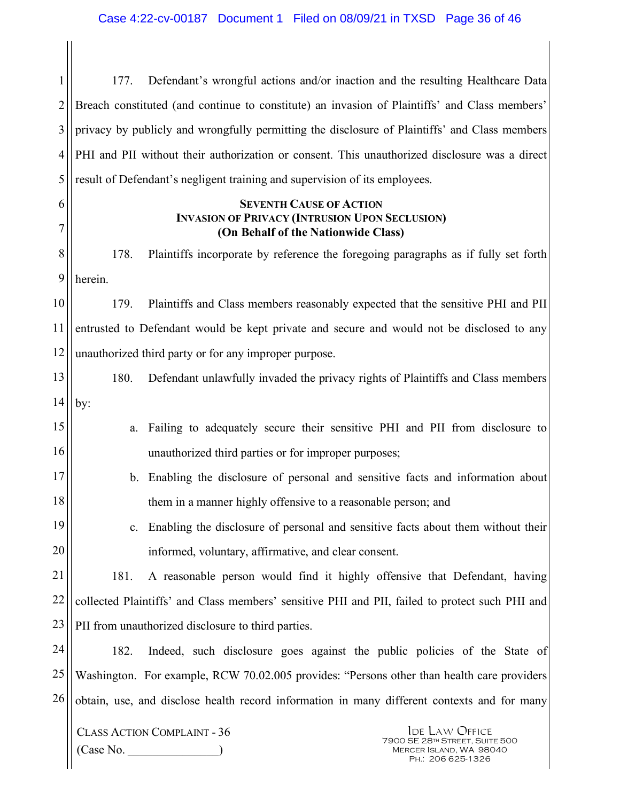1 2 3 4 5 177. Defendant's wrongful actions and/or inaction and the resulting Healthcare Data Breach constituted (and continue to constitute) an invasion of Plaintiffs' and Class members' privacy by publicly and wrongfully permitting the disclosure of Plaintiffs' and Class members PHI and PII without their authorization or consent. This unauthorized disclosure was a direct result of Defendant's negligent training and supervision of its employees.

#### **SEVENTH CAUSE OF ACTION INVASION OF PRIVACY (INTRUSION UPON SECLUSION) (On Behalf of the Nationwide Class)**

8 9 178. Plaintiffs incorporate by reference the foregoing paragraphs as if fully set forth herein.

10 11 12 179. Plaintiffs and Class members reasonably expected that the sensitive PHI and PII entrusted to Defendant would be kept private and secure and would not be disclosed to any unauthorized third party or for any improper purpose.

- 13 14 180. Defendant unlawfully invaded the privacy rights of Plaintiffs and Class members by:
- 15 16 a. Failing to adequately secure their sensitive PHI and PII from disclosure to unauthorized third parties or for improper purposes;
- 17 18 b. Enabling the disclosure of personal and sensitive facts and information about them in a manner highly offensive to a reasonable person; and
	- c. Enabling the disclosure of personal and sensitive facts about them without their informed, voluntary, affirmative, and clear consent.

21 22 23 181. A reasonable person would find it highly offensive that Defendant, having collected Plaintiffs' and Class members' sensitive PHI and PII, failed to protect such PHI and PII from unauthorized disclosure to third parties.

24 25 26 182. Indeed, such disclosure goes against the public policies of the State of Washington. For example, RCW 70.02.005 provides: "Persons other than health care providers obtain, use, and disclose health record information in many different contexts and for many

CLASS ACTION COMPLAINT - 36 (Case No. \_\_\_\_\_\_\_\_\_\_\_\_\_\_\_)

6

7

19

20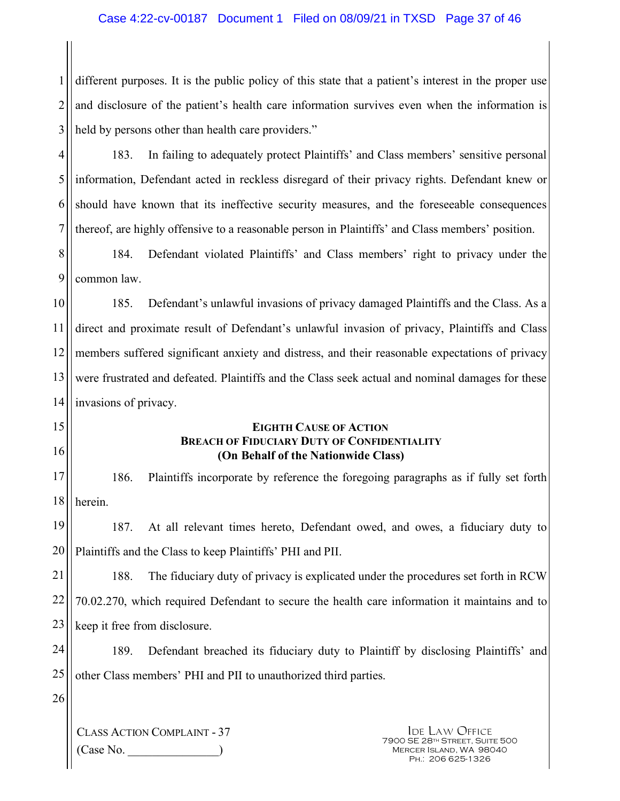1 2 3 different purposes. It is the public policy of this state that a patient's interest in the proper use and disclosure of the patient's health care information survives even when the information is held by persons other than health care providers."

4 5 6 7 183. In failing to adequately protect Plaintiffs' and Class members' sensitive personal information, Defendant acted in reckless disregard of their privacy rights. Defendant knew or should have known that its ineffective security measures, and the foreseeable consequences thereof, are highly offensive to a reasonable person in Plaintiffs' and Class members' position.

8 9 184. Defendant violated Plaintiffs' and Class members' right to privacy under the common law.

10 11 12 13 14 185. Defendant's unlawful invasions of privacy damaged Plaintiffs and the Class. As a direct and proximate result of Defendant's unlawful invasion of privacy, Plaintiffs and Class members suffered significant anxiety and distress, and their reasonable expectations of privacy were frustrated and defeated. Plaintiffs and the Class seek actual and nominal damages for these invasions of privacy.

#### **EIGHTH CAUSE OF ACTION BREACH OF FIDUCIARY DUTY OF CONFIDENTIALITY (On Behalf of the Nationwide Class)**

17 18 186. Plaintiffs incorporate by reference the foregoing paragraphs as if fully set forth herein.

19 20 187. At all relevant times hereto, Defendant owed, and owes, a fiduciary duty to Plaintiffs and the Class to keep Plaintiffs' PHI and PII.

21 22 23 188. The fiduciary duty of privacy is explicated under the procedures set forth in RCW 70.02.270, which required Defendant to secure the health care information it maintains and to keep it free from disclosure.

24 25 189. Defendant breached its fiduciary duty to Plaintiff by disclosing Plaintiffs' and other Class members' PHI and PII to unauthorized third parties.

26

15

16

CLASS ACTION COMPLAINT - 37  $(Case No)$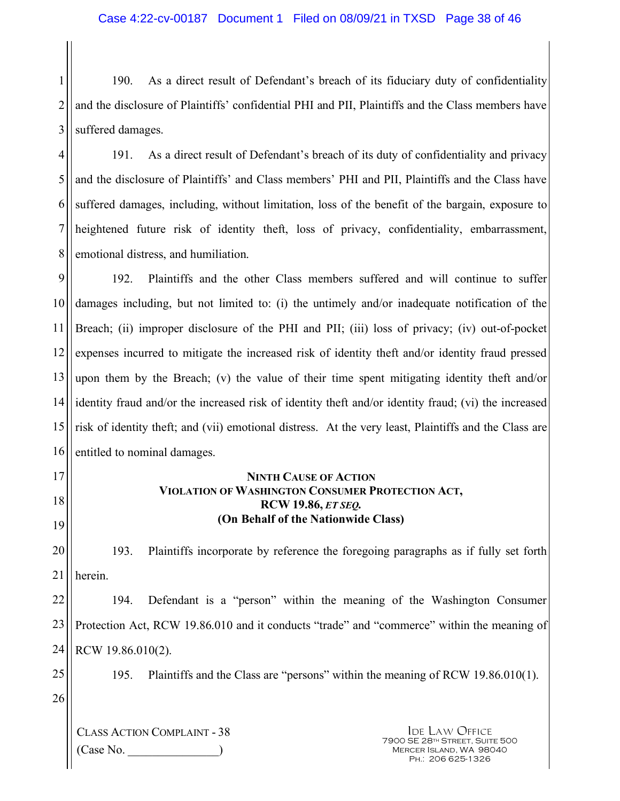1 2 3 190. As a direct result of Defendant's breach of its fiduciary duty of confidentiality and the disclosure of Plaintiffs' confidential PHI and PII, Plaintiffs and the Class members have suffered damages.

4 5 6 7 8 191. As a direct result of Defendant's breach of its duty of confidentiality and privacy and the disclosure of Plaintiffs' and Class members' PHI and PII, Plaintiffs and the Class have suffered damages, including, without limitation, loss of the benefit of the bargain, exposure to heightened future risk of identity theft, loss of privacy, confidentiality, embarrassment, emotional distress, and humiliation.

9 10 11 12 13 14 15 16 192. Plaintiffs and the other Class members suffered and will continue to suffer damages including, but not limited to: (i) the untimely and/or inadequate notification of the Breach; (ii) improper disclosure of the PHI and PII; (iii) loss of privacy; (iv) out-of-pocket expenses incurred to mitigate the increased risk of identity theft and/or identity fraud pressed upon them by the Breach; (v) the value of their time spent mitigating identity theft and/or identity fraud and/or the increased risk of identity theft and/or identity fraud; (vi) the increased risk of identity theft; and (vii) emotional distress. At the very least, Plaintiffs and the Class are entitled to nominal damages.

17

18 19

#### **NINTH CAUSE OF ACTION VIOLATION OF WASHINGTON CONSUMER PROTECTION ACT, RCW 19.86,** *ET SEQ.* **(On Behalf of the Nationwide Class)**

20 21 193. Plaintiffs incorporate by reference the foregoing paragraphs as if fully set forth herein.

22 23 24 194. Defendant is a "person" within the meaning of the Washington Consumer Protection Act, RCW 19.86.010 and it conducts "trade" and "commerce" within the meaning of RCW 19.86.010(2).

25

195. Plaintiffs and the Class are "persons" within the meaning of RCW 19.86.010(1).

26

CLASS ACTION COMPLAINT - 38  $(Case No)$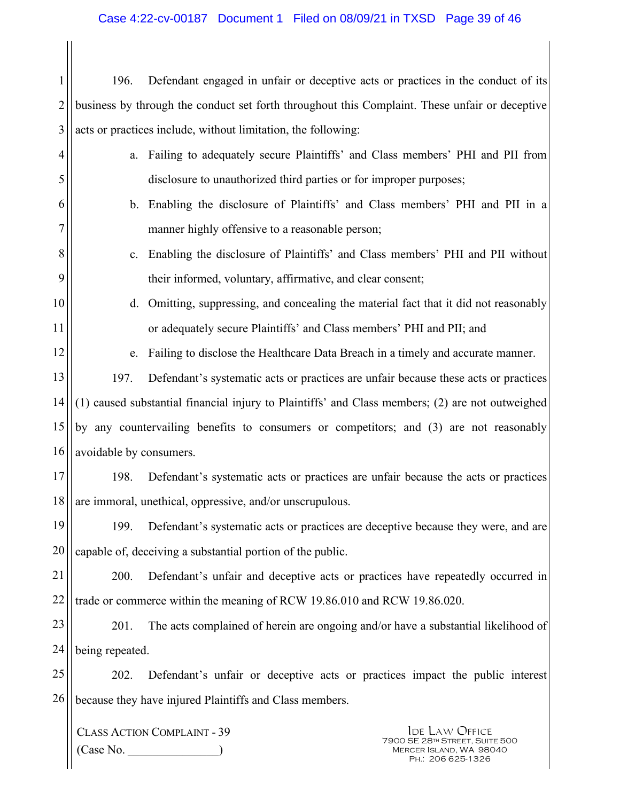#### Case 4:22-cv-00187 Document 1 Filed on 08/09/21 in TXSD Page 39 of 46

1 2 3 196. Defendant engaged in unfair or deceptive acts or practices in the conduct of its business by through the conduct set forth throughout this Complaint. These unfair or deceptive acts or practices include, without limitation, the following:

- a. Failing to adequately secure Plaintiffs' and Class members' PHI and PII from disclosure to unauthorized third parties or for improper purposes;
	- b. Enabling the disclosure of Plaintiffs' and Class members' PHI and PII in a manner highly offensive to a reasonable person;
		- c. Enabling the disclosure of Plaintiffs' and Class members' PHI and PII without their informed, voluntary, affirmative, and clear consent;
- d. Omitting, suppressing, and concealing the material fact that it did not reasonably or adequately secure Plaintiffs' and Class members' PHI and PII; and
	- e. Failing to disclose the Healthcare Data Breach in a timely and accurate manner.

13 14 15 16 197. Defendant's systematic acts or practices are unfair because these acts or practices (1) caused substantial financial injury to Plaintiffs' and Class members; (2) are not outweighed by any countervailing benefits to consumers or competitors; and (3) are not reasonably avoidable by consumers.

17 18 198. Defendant's systematic acts or practices are unfair because the acts or practices are immoral, unethical, oppressive, and/or unscrupulous.

19 20 199. Defendant's systematic acts or practices are deceptive because they were, and are capable of, deceiving a substantial portion of the public.

21 22 200. Defendant's unfair and deceptive acts or practices have repeatedly occurred in trade or commerce within the meaning of RCW 19.86.010 and RCW 19.86.020.

23 24 201. The acts complained of herein are ongoing and/or have a substantial likelihood of being repeated.

25 26 202. Defendant's unfair or deceptive acts or practices impact the public interest because they have injured Plaintiffs and Class members.

CLASS ACTION COMPLAINT - 39  $(Case No.$ 

4

5

6

7

8

9

10

11

12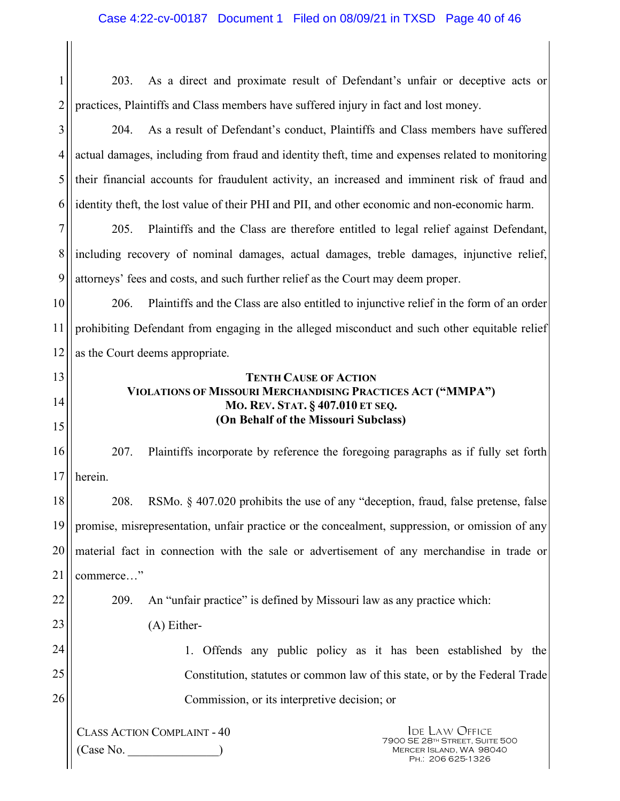CLASS ACTION COMPLAINT - 40  $(Case No.$ Ide Law Office 7900 SE 28th Street, Suite 500 Mercer Island, WA 98040 Ph.: 206 625-1326 1 2 3 4 5 6 7 8 9 10 11 12 13 14 15 16 17 18 19 20 21 22 23 24 25 26 203. As a direct and proximate result of Defendant's unfair or deceptive acts or practices, Plaintiffs and Class members have suffered injury in fact and lost money. 204. As a result of Defendant's conduct, Plaintiffs and Class members have suffered actual damages, including from fraud and identity theft, time and expenses related to monitoring their financial accounts for fraudulent activity, an increased and imminent risk of fraud and identity theft, the lost value of their PHI and PII, and other economic and non-economic harm. 205. Plaintiffs and the Class are therefore entitled to legal relief against Defendant, including recovery of nominal damages, actual damages, treble damages, injunctive relief, attorneys' fees and costs, and such further relief as the Court may deem proper. 206. Plaintiffs and the Class are also entitled to injunctive relief in the form of an order prohibiting Defendant from engaging in the alleged misconduct and such other equitable relief as the Court deems appropriate. **TENTH CAUSE OF ACTION VIOLATIONS OF MISSOURI MERCHANDISING PRACTICES ACT ("MMPA") MO. REV. STAT. § 407.010 ET SEQ. (On Behalf of the Missouri Subclass)**  207. Plaintiffs incorporate by reference the foregoing paragraphs as if fully set forth herein. 208. RSMo. § 407.020 prohibits the use of any "deception, fraud, false pretense, false promise, misrepresentation, unfair practice or the concealment, suppression, or omission of any material fact in connection with the sale or advertisement of any merchandise in trade or commerce…" 209. An "unfair practice" is defined by Missouri law as any practice which: (A) Either-1. Offends any public policy as it has been established by the Constitution, statutes or common law of this state, or by the Federal Trade Commission, or its interpretive decision; or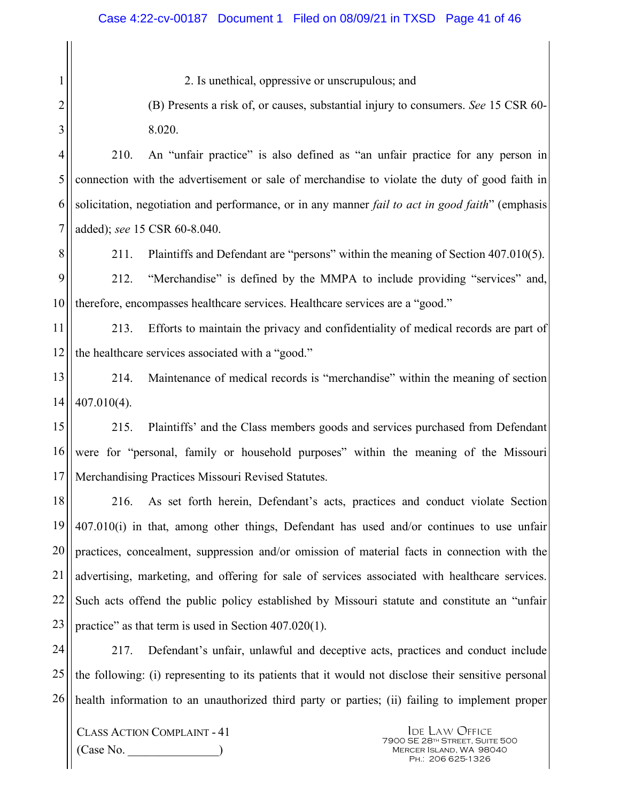2. Is unethical, oppressive or unscrupulous; and

(B) Presents a risk of, or causes, substantial injury to consumers. *See* 15 CSR 60- 8.020.

210. An "unfair practice" is also defined as "an unfair practice for any person in connection with the advertisement or sale of merchandise to violate the duty of good faith in solicitation, negotiation and performance, or in any manner *fail to act in good faith*" (emphasis added); *see* 15 CSR 60-8.040.

8

1

2

3

4

5

6

7

211. Plaintiffs and Defendant are "persons" within the meaning of Section 407.010(5).

9 10 212. "Merchandise" is defined by the MMPA to include providing "services" and, therefore, encompasses healthcare services. Healthcare services are a "good."

11 12 213. Efforts to maintain the privacy and confidentiality of medical records are part of the healthcare services associated with a "good."

13 14 214. Maintenance of medical records is "merchandise" within the meaning of section 407.010(4).

15 16 17 215. Plaintiffs' and the Class members goods and services purchased from Defendant were for "personal, family or household purposes" within the meaning of the Missouri Merchandising Practices Missouri Revised Statutes.

18 19 20 21 22 23 216. As set forth herein, Defendant's acts, practices and conduct violate Section 407.010(i) in that, among other things, Defendant has used and/or continues to use unfair practices, concealment, suppression and/or omission of material facts in connection with the advertising, marketing, and offering for sale of services associated with healthcare services. Such acts offend the public policy established by Missouri statute and constitute an "unfair practice" as that term is used in Section 407.020(1).

24 25 26 217. Defendant's unfair, unlawful and deceptive acts, practices and conduct include the following: (i) representing to its patients that it would not disclose their sensitive personal health information to an unauthorized third party or parties; (ii) failing to implement proper

CLASS ACTION COMPLAINT - 41 (Case No. \_\_\_\_\_\_\_\_\_\_\_\_\_\_\_)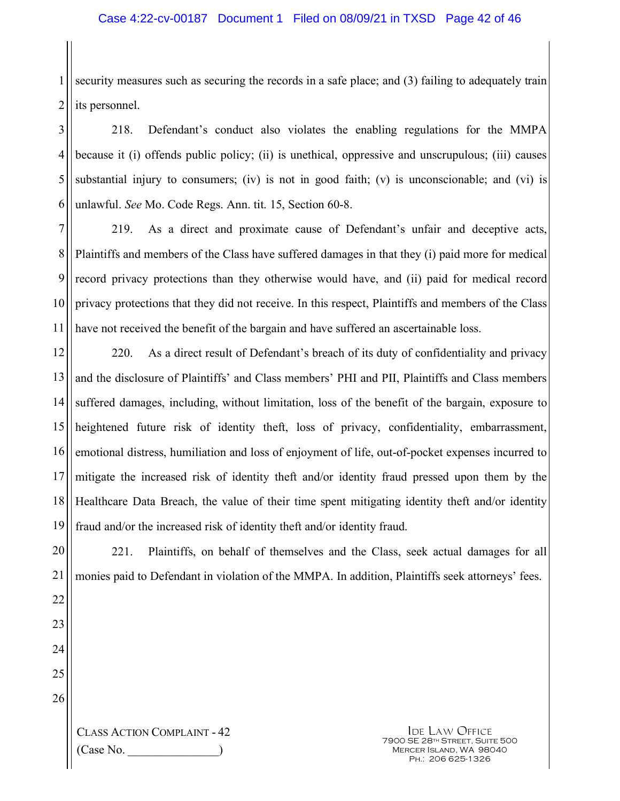1 2 security measures such as securing the records in a safe place; and (3) failing to adequately train its personnel.

3 4 5 6 218. Defendant's conduct also violates the enabling regulations for the MMPA because it (i) offends public policy; (ii) is unethical, oppressive and unscrupulous; (iii) causes substantial injury to consumers; (iv) is not in good faith; (v) is unconscionable; and (vi) is unlawful. *See* Mo. Code Regs. Ann. tit. 15, Section 60-8.

7 8 9 10 11 219. As a direct and proximate cause of Defendant's unfair and deceptive acts, Plaintiffs and members of the Class have suffered damages in that they (i) paid more for medical record privacy protections than they otherwise would have, and (ii) paid for medical record privacy protections that they did not receive. In this respect, Plaintiffs and members of the Class have not received the benefit of the bargain and have suffered an ascertainable loss.

12 13 14 15 16 17 18 19 220. As a direct result of Defendant's breach of its duty of confidentiality and privacy and the disclosure of Plaintiffs' and Class members' PHI and PII, Plaintiffs and Class members suffered damages, including, without limitation, loss of the benefit of the bargain, exposure to heightened future risk of identity theft, loss of privacy, confidentiality, embarrassment, emotional distress, humiliation and loss of enjoyment of life, out-of-pocket expenses incurred to mitigate the increased risk of identity theft and/or identity fraud pressed upon them by the Healthcare Data Breach, the value of their time spent mitigating identity theft and/or identity fraud and/or the increased risk of identity theft and/or identity fraud.

20 221. Plaintiffs, on behalf of themselves and the Class, seek actual damages for all monies paid to Defendant in violation of the MMPA. In addition, Plaintiffs seek attorneys' fees.

26

CLASS ACTION COMPLAINT - 42  $(Case No)$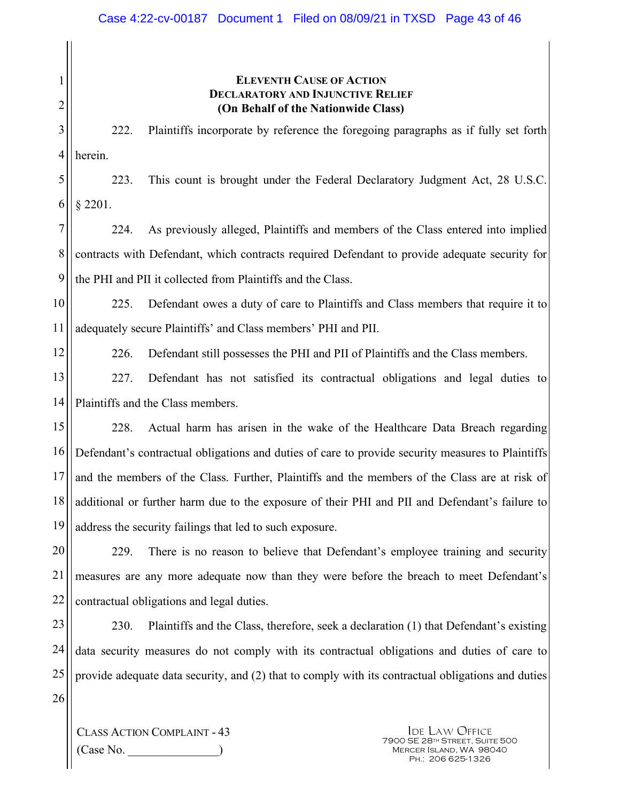| 1              | <b>ELEVENTH CAUSE OF ACTION</b>                                                                    |  |  |
|----------------|----------------------------------------------------------------------------------------------------|--|--|
| $\overline{c}$ | <b>DECLARATORY AND INJUNCTIVE RELIEF</b><br>(On Behalf of the Nationwide Class)                    |  |  |
| 3              | Plaintiffs incorporate by reference the foregoing paragraphs as if fully set forth<br>222.         |  |  |
| 4              | herein.                                                                                            |  |  |
| 5              | This count is brought under the Federal Declaratory Judgment Act, 28 U.S.C.<br>223.                |  |  |
| 6              | $§$ 2201.                                                                                          |  |  |
| $\overline{7}$ | As previously alleged, Plaintiffs and members of the Class entered into implied<br>224.            |  |  |
| 8              | contracts with Defendant, which contracts required Defendant to provide adequate security for      |  |  |
| 9              | the PHI and PII it collected from Plaintiffs and the Class.                                        |  |  |
| 10             | 225.<br>Defendant owes a duty of care to Plaintiffs and Class members that require it to           |  |  |
| 11             | adequately secure Plaintiffs' and Class members' PHI and PII.                                      |  |  |
| 12             | 226.<br>Defendant still possesses the PHI and PII of Plaintiffs and the Class members.             |  |  |
| 13             | 227.<br>Defendant has not satisfied its contractual obligations and legal duties to                |  |  |
| 14             | Plaintiffs and the Class members.                                                                  |  |  |
| 15             | Actual harm has arisen in the wake of the Healthcare Data Breach regarding<br>228.                 |  |  |
| 16             | Defendant's contractual obligations and duties of care to provide security measures to Plaintiffs  |  |  |
| 17             | and the members of the Class. Further, Plaintiffs and the members of the Class are at risk of      |  |  |
| 18             | additional or further harm due to the exposure of their PHI and PII and Defendant's failure to     |  |  |
| 19             | address the security failings that led to such exposure.                                           |  |  |
| 20             | 229.<br>There is no reason to believe that Defendant's employee training and security              |  |  |
| 21             | measures are any more adequate now than they were before the breach to meet Defendant's            |  |  |
| 22             | contractual obligations and legal duties.                                                          |  |  |
| 23             | 230.<br>Plaintiffs and the Class, therefore, seek a declaration (1) that Defendant's existing      |  |  |
| 24             | data security measures do not comply with its contractual obligations and duties of care to        |  |  |
| 25             | provide adequate data security, and (2) that to comply with its contractual obligations and duties |  |  |
| 26             |                                                                                                    |  |  |

CLASS ACTION COMPLAINT - 43 (Case No. \_\_\_\_\_\_\_\_\_\_\_\_\_\_\_)

**IDE LAW OFFICE** 7900 SE 28th Street, Suite 500 Mercer Island, WA 98040 Ph.: 206 625-1326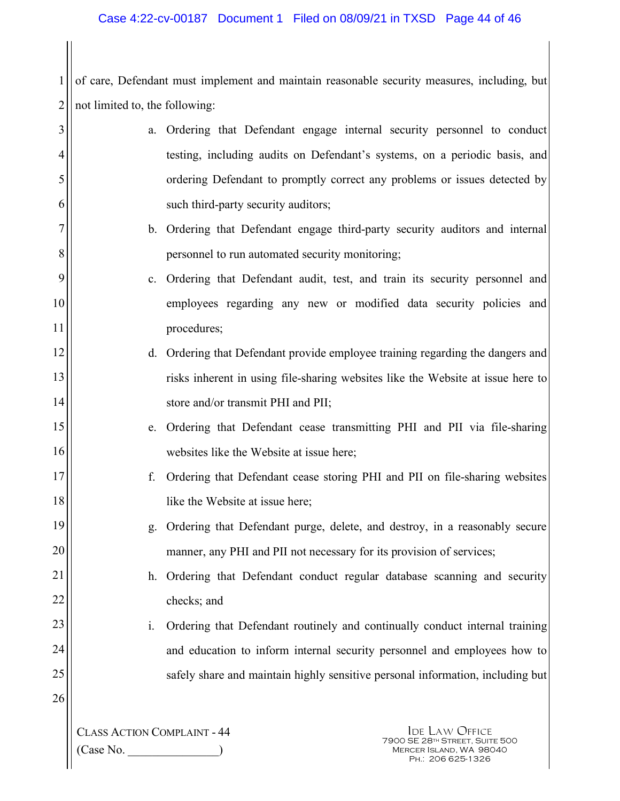1 2 not limited to, the following: of care, Defendant must implement and maintain reasonable security measures, including, but

| 3  |                                    | a.             | Ordering that Defendant engage internal security personnel to conduct           |
|----|------------------------------------|----------------|---------------------------------------------------------------------------------|
| 4  |                                    |                | testing, including audits on Defendant's systems, on a periodic basis, and      |
| 5  |                                    |                | ordering Defendant to promptly correct any problems or issues detected by       |
| 6  |                                    |                | such third-party security auditors;                                             |
| 7  |                                    |                | b. Ordering that Defendant engage third-party security auditors and internal    |
| 8  |                                    |                | personnel to run automated security monitoring;                                 |
| 9  |                                    |                | c. Ordering that Defendant audit, test, and train its security personnel and    |
| 10 |                                    |                | employees regarding any new or modified data security policies and              |
| 11 |                                    |                | procedures;                                                                     |
| 12 |                                    |                | d. Ordering that Defendant provide employee training regarding the dangers and  |
| 13 |                                    |                | risks inherent in using file-sharing websites like the Website at issue here to |
| 14 |                                    |                | store and/or transmit PHI and PII;                                              |
| 15 |                                    |                | e. Ordering that Defendant cease transmitting PHI and PII via file-sharing      |
| 16 |                                    |                | websites like the Website at issue here;                                        |
| 17 |                                    | f.             | Ordering that Defendant cease storing PHI and PII on file-sharing websites      |
| 18 |                                    |                | like the Website at issue here;                                                 |
| 19 |                                    | g <sub>1</sub> | Ordering that Defendant purge, delete, and destroy, in a reasonably secure      |
| 20 |                                    |                | manner, any PHI and PII not necessary for its provision of services;            |
| 21 |                                    |                | Ordering that Defendant conduct regular database scanning and security          |
| 22 |                                    |                | checks; and                                                                     |
| 23 |                                    | i.             | Ordering that Defendant routinely and continually conduct internal training     |
| 24 |                                    |                | and education to inform internal security personnel and employees how to        |
| 25 |                                    |                | safely share and maintain highly sensitive personal information, including but  |
| 26 |                                    |                |                                                                                 |
|    | <b>CLASS ACTION COMPLAINT - 44</b> |                | <b>IDE LAW OFFICE</b>                                                           |

(Case No. \_\_\_\_\_\_\_\_\_\_\_\_\_\_\_)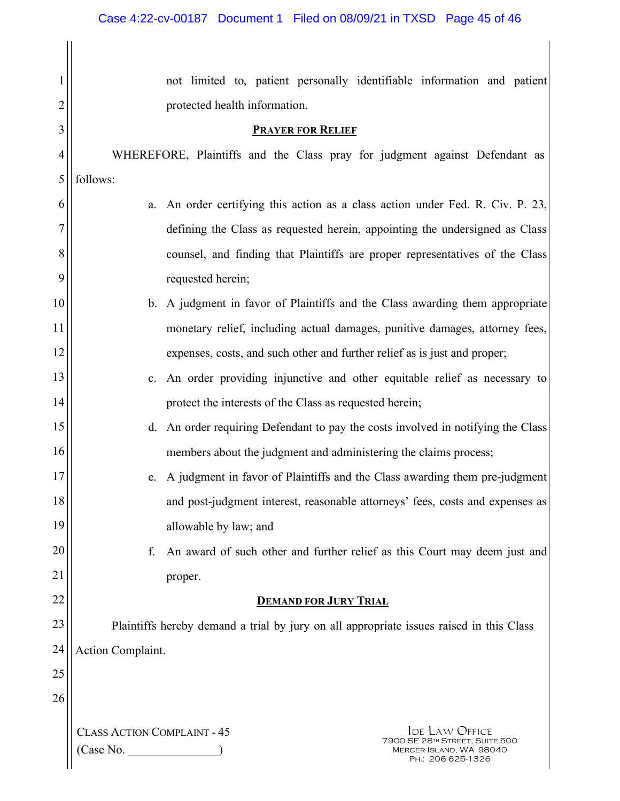|                | not limited to, patient personally identifiable information and patient                     |  |  |
|----------------|---------------------------------------------------------------------------------------------|--|--|
| $\overline{2}$ | protected health information.                                                               |  |  |
| 3              | <b>PRAYER FOR RELIEF</b>                                                                    |  |  |
| 4              | WHEREFORE, Plaintiffs and the Class pray for judgment against Defendant as                  |  |  |
| 5              | follows:                                                                                    |  |  |
| 6              | An order certifying this action as a class action under Fed. R. Civ. P. 23,<br>a.           |  |  |
| 7              | defining the Class as requested herein, appointing the undersigned as Class                 |  |  |
| 8              | counsel, and finding that Plaintiffs are proper representatives of the Class                |  |  |
| 9              | requested herein;                                                                           |  |  |
| 10             | b. A judgment in favor of Plaintiffs and the Class awarding them appropriate                |  |  |
| 11             | monetary relief, including actual damages, punitive damages, attorney fees,                 |  |  |
| 12             | expenses, costs, and such other and further relief as is just and proper;                   |  |  |
| 13             | c. An order providing injunctive and other equitable relief as necessary to                 |  |  |
| 14             | protect the interests of the Class as requested herein;                                     |  |  |
| 15             | d. An order requiring Defendant to pay the costs involved in notifying the Class            |  |  |
| 16             | members about the judgment and administering the claims process;                            |  |  |
| 17             | e. A judgment in favor of Plaintiffs and the Class awarding them pre-judgment               |  |  |
| 18             | and post-judgment interest, reasonable attorneys' fees, costs and expenses as               |  |  |
| 19             | allowable by law; and                                                                       |  |  |
| 20             | An award of such other and further relief as this Court may deem just and<br>f.             |  |  |
| 21             | proper.                                                                                     |  |  |
| 22             | <b>DEMAND FOR JURY TRIAL</b>                                                                |  |  |
| 23             | Plaintiffs hereby demand a trial by jury on all appropriate issues raised in this Class     |  |  |
| 24             | Action Complaint.                                                                           |  |  |
| 25             |                                                                                             |  |  |
| 26             |                                                                                             |  |  |
|                | <b>CLASS ACTION COMPLAINT - 45</b><br><b>IDE LAW OFFICE</b>                                 |  |  |
|                | 7900 SE 28TH STREET, SUITE 500<br>(Case No.<br>MERCER ISLAND, WA 98040<br>PH.: 206 625-1326 |  |  |